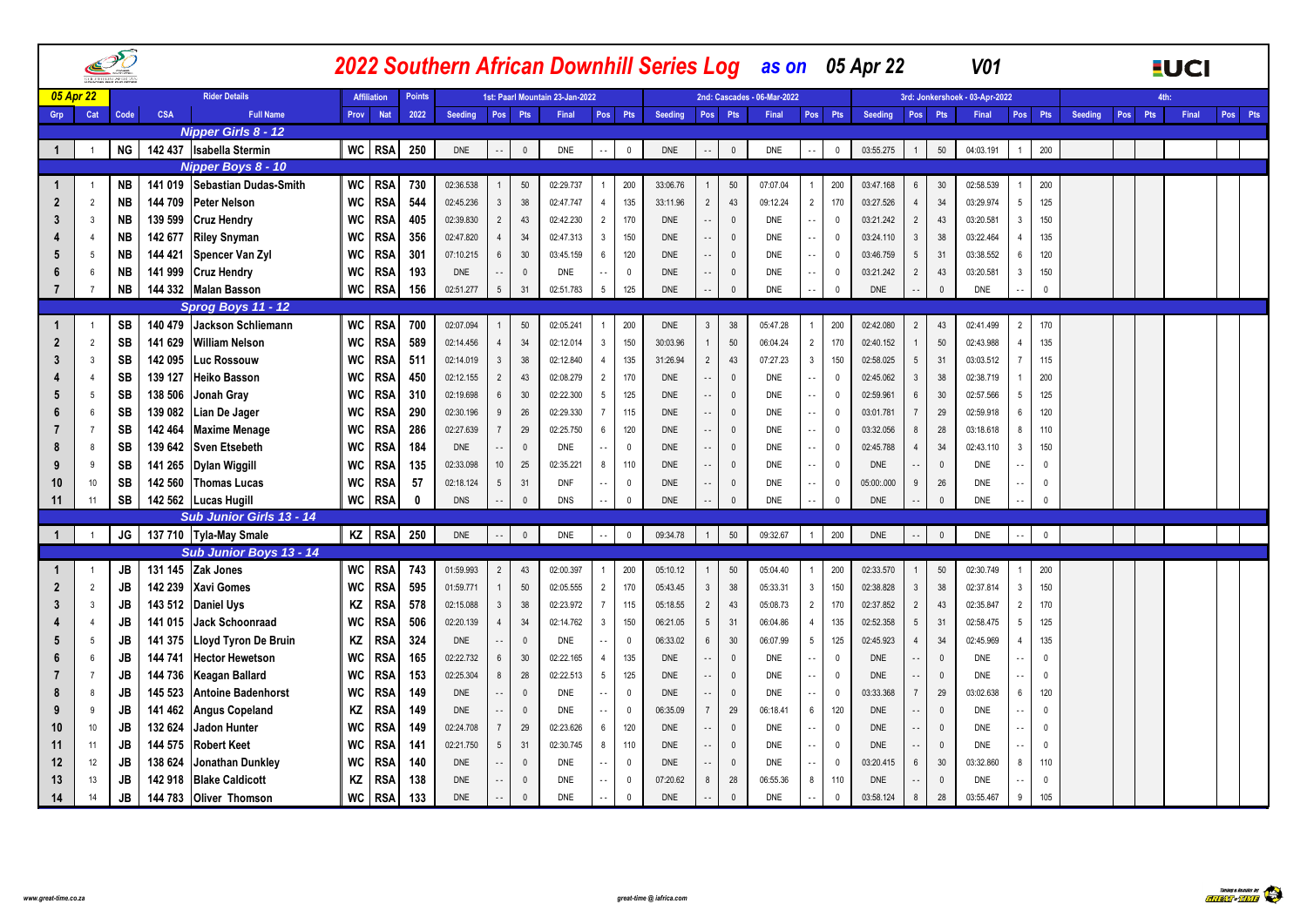|                   |                |           |            |                               |           |                    |               |            |                 |                |                                 |                                      | 2022 Southern African Downhill Series Log as on 05 Apr 22 |                |              |                             |                                          |            |                 |              | <b>V01</b>                     |                 |              |                |     |         | <b>EUCI</b> |         |
|-------------------|----------------|-----------|------------|-------------------------------|-----------|--------------------|---------------|------------|-----------------|----------------|---------------------------------|--------------------------------------|-----------------------------------------------------------|----------------|--------------|-----------------------------|------------------------------------------|------------|-----------------|--------------|--------------------------------|-----------------|--------------|----------------|-----|---------|-------------|---------|
|                   | 05 Apr 22      |           |            | <b>Rider Details</b>          |           | <b>Affiliation</b> | <b>Points</b> |            |                 |                | 1st: Paarl Mountain 23-Jan-2022 |                                      |                                                           |                |              | 2nd: Cascades - 06-Mar-2022 |                                          |            |                 |              | 3rd: Jonkershoek - 03-Apr-2022 |                 |              |                |     | $A + h$ |             |         |
| Grp               | Cat            | Code      | <b>CSA</b> | <b>Full Name</b>              |           | Prov Nat           | 2022          | Seeding    | Pos Pts         |                | Final                           | Pos Pts                              | Seeding                                                   |                | Pos Pts      | Final                       | Pos Pts                                  | Seeding    |                 | Pos Pts      | Final                          | Pos Pts         |              | <b>Seeding</b> | Pos | Pts     | Final       | Pos Pts |
|                   |                |           |            | <b>Nipper Girls 8 - 12</b>    |           |                    |               |            |                 |                |                                 |                                      |                                                           |                |              |                             |                                          |            |                 |              |                                |                 |              |                |     |         |             |         |
| $\overline{1}$    |                | <b>NG</b> |            | 142 437 Isabella Stermin      |           | WC RSA             | 250           | <b>DNE</b> | $\sim$ $\sim$   | $\overline{0}$ | <b>DNE</b>                      | $\mathbb O$<br>ο.                    | <b>DNE</b>                                                |                | $\mathbb O$  | <b>DNE</b>                  | $\mathbf 0$<br>$\ddot{\phantom{a}}$ .    | 03:55.275  |                 | $50\,$       | 04:03.191                      |                 | 200          |                |     |         |             |         |
|                   |                |           |            | Nipper Boys 8 - 10            |           |                    |               |            |                 |                |                                 |                                      |                                                           |                |              |                             |                                          |            |                 |              |                                |                 |              |                |     |         |             |         |
| -1                |                | <b>NB</b> |            | 141 019 Sebastian Dudas-Smith |           | WC RSA             | 730           | 02:36.538  | $\overline{1}$  | 50             | 02:29.737                       | $\mathbf{1}$                         | 200<br>33:06.76                                           |                | 50           | 07:07.04                    | 200<br>$\overline{1}$                    | 03:47.168  | $6\overline{6}$ | 30           | 02:58.539                      |                 | 200          |                |     |         |             |         |
| $\overline{2}$    | $\overline{2}$ | <b>NB</b> | 144 709    | <b>Peter Nelson</b>           | <b>WC</b> | <b>RSA</b>         | 544           | 02:45.236  | $\mathbf{3}$    | 38             | 02:47.747                       | $\overline{4}$                       | 135<br>33:11.96                                           | $\overline{2}$ | 43           | 09:12.24                    | $\overline{2}$<br>170                    | 03:27.526  | $\overline{4}$  | 34           | 03:29.974                      | 5               | 125          |                |     |         |             |         |
|                   | 3              | <b>NB</b> | 139 599    | <b>Cruz Hendry</b>            | <b>WC</b> | <b>RSA</b>         | 405           | 02:39.830  | $\overline{2}$  | 43             | 02:42.230                       | $\overline{2}$                       | 170<br><b>DNE</b>                                         |                | $\mathbf 0$  | DNE                         | $\mathbf 0$<br>$\sim$                    | 03:21.242  | $2^{\circ}$     | 43           | 03:20.581                      | 3               | 150          |                |     |         |             |         |
|                   | $\overline{4}$ | <b>NB</b> | 142 677    | <b>Riley Snyman</b>           | WC        | <b>RSA</b>         | 356           | 02:47.820  | $\overline{4}$  | 34             | 02:47.313                       | $\overline{\mathbf{3}}$              | 150<br><b>DNE</b>                                         |                | $\mathbb O$  | DNE                         | $\sim$ $\sim$<br>$\overline{\mathbf{0}}$ | 03:24.110  | $\mathbf{3}$    | 38           | 03:22.464                      | $\overline{4}$  | 135          |                |     |         |             |         |
|                   | -5             | <b>NB</b> | 144 421    | Spencer Van Zyl               | WC        | <b>RSA</b>         | 301           | 07:10.215  | $\,6\,$         | 30             | 03:45.159                       | $6\overline{6}$                      | 120<br><b>DNE</b>                                         |                | $\mathbf 0$  | DNE                         | $\mathbf 0$<br>$\sim$                    | 03:46.759  | $5\phantom{.0}$ | 31           | 03:38.552                      | 6               | 120          |                |     |         |             |         |
|                   |                | <b>NB</b> | 141 999    | <b>Cruz Hendry</b>            | WC        | <b>RSA</b>         | 193           | <b>DNE</b> | $\sim$ $\sim$   | $\Omega$       | <b>DNE</b>                      | ٠.                                   | $\mathbf{0}$<br><b>DNE</b>                                |                | $\Omega$     | <b>DNE</b>                  | $\mathbf 0$<br>$\sim$ $\sim$             | 03:21.242  | $\overline{2}$  | 43           | 03:20.581                      | -3              | 150          |                |     |         |             |         |
|                   | $\overline{7}$ | <b>NB</b> |            | 144 332 Malan Basson          | WC        | <b>RSA</b>         | 156           | 02:51.277  | $5\phantom{.0}$ | 31             | 02:51.783                       | $5\overline{)}$                      | 125<br><b>DNE</b>                                         |                | $\Omega$     | <b>DNE</b>                  | $\mathbf{0}$<br>ă.                       | <b>DNE</b> |                 | $\mathbb O$  | <b>DNE</b>                     | ÷.              | $\mathbf 0$  |                |     |         |             |         |
|                   |                |           |            | Sprog Boys 11 - 12            |           |                    |               |            |                 |                |                                 |                                      |                                                           |                |              |                             |                                          |            |                 |              |                                |                 |              |                |     |         |             |         |
| -1                |                | <b>SB</b> |            | 140 479 Jackson Schliemann    | WC        | <b>RSA</b>         | 700           | 02:07.094  | $\overline{1}$  | 50             | 02:05.241                       | $\mathbf{1}$                         | 200<br><b>DNE</b>                                         | 3              | 38           | 05:47.28                    | 200<br>$\overline{1}$                    | 02:42.080  | $\overline{2}$  | 43           | 02:41.499                      | $\overline{2}$  | 170          |                |     |         |             |         |
| $\overline{2}$    | $\overline{2}$ | <b>SB</b> | 141 629    | <b>William Nelson</b>         | <b>WC</b> | <b>RSA</b>         | 589           | 02:14.456  | $\overline{4}$  | 34             | 02:12.014                       | $\mathbf{3}$                         | 150<br>30:03.96                                           |                | 50           | 06:04.24                    | $\overline{2}$<br>170                    | 02:40.152  |                 | 50           | 02:43.988                      | $\overline{4}$  | 135          |                |     |         |             |         |
| 3                 | 3              | SB        | 142 095    | <b>Luc Rossouw</b>            | WC        | <b>RSA</b>         | 511           | 02:14.019  | $\mathbf{3}$    | 38             | 02:12.840                       | $\overline{4}$                       | 135<br>31:26.94                                           | $\overline{2}$ | 43           | 07:27.23                    | $\mathbf{3}$<br>150                      | 02:58.025  | $5\overline{)}$ | 31           | 03:03.512                      | $\overline{7}$  | 115          |                |     |         |             |         |
|                   | 4              | <b>SB</b> | 139 127    | <b>Heiko Basson</b>           | WC        | <b>RSA</b>         | 450           | 02:12.155  | $\overline{2}$  | 43             | 02:08.279                       | $\overline{2}$                       | 170<br><b>DNE</b>                                         |                | $\mathbf 0$  | <b>DNE</b>                  | $\mathbf 0$<br>٠.                        | 02:45.062  | $\mathbf{3}$    | 38           | 02:38.719                      |                 | 200          |                |     |         |             |         |
|                   | -5             | <b>SB</b> | 138 506    | Jonah Gray                    | WC        | <b>RSA</b>         | 310           | 02:19.698  | $\,6\,$         | 30             | 02:22.300                       | $5\phantom{.0}$                      | 125<br><b>DNE</b>                                         |                | $\mathbb O$  | <b>DNE</b>                  | $\sim$ $\sim$<br>$\mathbf 0$             | 02:59.961  | $6\overline{6}$ | 30           | 02:57.566                      | 5               | 125          |                |     |         |             |         |
| 6                 | 6              | <b>SB</b> | 139 082    | Lian De Jager                 | WC        | <b>RSA</b>         | 290           | 02:30.196  | $\,9$           | 26             | 02:29.330                       | $\overline{7}$                       | 115<br><b>DNE</b>                                         |                | $\mathbb O$  | <b>DNE</b>                  | $\sim$ $\sim$<br>$\overline{\mathbf{0}}$ | 03:01.781  | $7\overline{ }$ | 29           | 02:59.918                      | 6               | 120          |                |     |         |             |         |
|                   |                | SB        | 142 464    | <b>Maxime Menage</b>          | WC        | <b>RSA</b>         | 286           | 02:27.639  | $\overline{7}$  | 29             | 02:25.750                       | 6                                    | 120<br><b>DNE</b>                                         |                | $\mathbf{0}$ | <b>DNE</b>                  | $\overline{0}$<br>$\sim$                 | 03:32.056  | 8               | 28           | 03:18.618                      | 8               | 110          |                |     |         |             |         |
| 8                 |                | <b>SB</b> | 139 642    | <b>Sven Etsebeth</b>          | WC        | <b>RSA</b>         | 184           | <b>DNE</b> | $\sim$          | $\Omega$       | <b>DNE</b>                      | $\sim$                               | $\mathbf{0}$<br><b>DNE</b>                                |                | $\mathbb O$  | <b>DNE</b>                  | $\mathbf{0}$<br>$\sim$                   | 02:45.788  | $\overline{4}$  | 34           | 02:43.110                      | -3              | 150          |                |     |         |             |         |
|                   | 9              | SB        | 141 265    | <b>Dylan Wiggill</b>          | WC        | <b>RSA</b>         | 135           | 02:33.098  | 10              | 25             | 02:35.221                       | 8                                    | 110<br><b>DNE</b>                                         |                | $\mathbf 0$  | DNE                         | $\mathbf 0$<br>$\sim$                    | <b>DNE</b> | $\sim$ $\sim$   | $\mathbb O$  | DNE                            |                 | $\mathbf{0}$ |                |     |         |             |         |
| 10                | 10             | SB        |            | 142 560 Thomas Lucas          | WC        | <b>RSA</b>         | 57            | 02:18.124  | $5\phantom{.0}$ | 31             | <b>DNF</b>                      | $\sim$ $\sim$                        | $\mathbf 0$<br><b>DNE</b>                                 |                | $\mathbf 0$  | <b>DNE</b>                  | $\mathbf 0$<br>$\sim$                    | 05:00:.000 | 9               | 26           | <b>DNE</b>                     | $\sim$ $\sim$   | $\mathbf{0}$ |                |     |         |             |         |
| 11                | 11             | SB        |            | 142 562 Lucas Hugill          | <b>WC</b> | <b>RSA</b>         | $\Omega$      | <b>DNS</b> |                 | $\Omega$       | <b>DNS</b>                      |                                      | <b>DNE</b><br>$\mathbf{0}$                                |                | $\Omega$     | <b>DNE</b>                  | $\Omega$<br>÷.                           | <b>DNE</b> |                 | $\mathbb O$  | <b>DNE</b>                     | $\sim$          | $\Omega$     |                |     |         |             |         |
|                   |                |           |            | Sub Junior Girls 13 - 14      |           |                    |               |            |                 |                |                                 |                                      |                                                           |                |              |                             |                                          |            |                 |              |                                |                 |              |                |     |         |             |         |
| $\overline{1}$    |                | JG        |            | 137 710 Tyla-May Smale        |           | KZ RSA             | 250           | <b>DNE</b> | $\sim$ $\sim$   | $\mathbf{0}$   | <b>DNE</b>                      | $\sim$                               | $\mathbf 0$<br>09:34.78                                   |                | 50           | 09:32.67                    | 200                                      | <b>DNE</b> |                 | $\mathbb O$  | <b>DNE</b>                     |                 | $\mathbf{0}$ |                |     |         |             |         |
|                   |                |           |            | Sub Junior Boys 13 - 14       |           |                    |               |            |                 |                |                                 |                                      |                                                           |                |              |                             |                                          |            |                 |              |                                |                 |              |                |     |         |             |         |
|                   |                | <b>JB</b> |            | 131 145 Zak Jones             | WC        | <b>RSA</b>         | 743           | 01:59.993  | $\overline{2}$  | 43             | 02:00.397                       | $\mathbf{1}$                         | 200<br>05:10.12                                           |                | 50           | 05:04.40                    | 200<br>$\overline{1}$                    | 02:33.570  |                 | $50\,$       | 02:30.749                      |                 | 200          |                |     |         |             |         |
| $\overline{2}$    | $\overline{2}$ | JB        | 142 239    | <b>Xavi Gomes</b>             | WC        | <b>RSA</b>         | 595           | 01:59.771  | $\overline{1}$  | 50             | 02:05.555                       | $\overline{2}$                       | 170<br>05:43.45                                           | 3              | 38           | 05:33.31                    | $\mathbf{3}$<br>150                      | 02:38.828  | $\mathbf{3}$    | 38           | 02:37.814                      | $\overline{3}$  | 150          |                |     |         |             |         |
| 3                 | $\mathbf{3}$   | JB        |            | 143 512 Daniel Uvs            | ΚZ        | <b>RSA</b>         | 578           | 02:15.088  | $\mathbf{3}$    | 38             | 02:23.972                       | $\overline{7}$                       | 115<br>05:18.55                                           | $\overline{2}$ | 43           | 05:08.73                    | $\overline{2}$<br>170                    | 02:37.852  | $\overline{2}$  | 43           | 02:35.847                      | $\overline{2}$  | 170          |                |     |         |             |         |
|                   | $\overline{4}$ | JB        | 141 015    | Jack Schoonraad               | WC        | <b>RSA</b>         | 506           | 02:20.139  | $\overline{4}$  | 34             | 02:14.762                       | 3                                    | 150<br>06:21.05                                           | 5              | 31           | 06:04.86                    | 135<br>$\overline{4}$                    | 02:52.358  | $5\overline{)}$ | 31           | 02:58.475                      | -5              | 125          |                |     |         |             |         |
|                   | 5              | JB        | 141 375    | <b>Lloyd Tyron De Bruin</b>   | ΚZ        | <b>RSA</b>         | 324           | DNE        | $\sim$          | $\overline{0}$ | DNE                             | $\overline{\phantom{a}}$             | 06:33.02<br>$\mathbf{0}$                                  | 6              | 30           | 06:07.99                    | $5\overline{)}$<br>125                   | 02:45.923  | $\overline{4}$  | 34           | 02:45.969                      | $\overline{4}$  | 135          |                |     |         |             |         |
|                   | 6              | <b>JB</b> | 144 741    | <b>Hector Hewetson</b>        | <b>WC</b> | <b>RSA</b>         | 165           | 02:22.732  | $\,6\,$         | 30             | 02:22.165                       | $\overline{4}$                       | 135<br><b>DNE</b>                                         |                | $\mathbf 0$  | DNE                         | $\mathbf 0$<br>$\sim$                    | <b>DNE</b> | $\sim$          | $\mathbb O$  | <b>DNE</b>                     | $\sim$ $\sim$   | $\mathbf{0}$ |                |     |         |             |         |
|                   | $\overline{7}$ | JB        | 144 736    | <b>Keagan Ballard</b>         | <b>WC</b> | <b>RSA</b>         | 153           | 02:25.304  | 8               | 28             | 02:22.513                       | $5\overline{)}$                      | 125<br><b>DNE</b>                                         |                | $\mathbf 0$  | <b>DNE</b>                  | $\mathbf 0$<br>$\sim$                    | <b>DNE</b> | $\sim$          | $\mathbb O$  | <b>DNE</b>                     | $\sim$          | $\mathbf{0}$ |                |     |         |             |         |
| 8                 | 8              | <b>JB</b> | 145 523    | <b>Antoine Badenhorst</b>     | WC        | <b>RSA</b>         | 149           | <b>DNE</b> | $\sim$ $\sim$   | $\Omega$       | <b>DNE</b>                      | $\sim$                               | $\Omega$<br><b>DNE</b>                                    |                | $\mathbb O$  | <b>DNE</b>                  | $\mathbb O$<br>$\sim$ $\sim$             | 03:33.368  | $7\overline{ }$ | 29           | 03:02.638                      | $6\phantom{.0}$ | 120          |                |     |         |             |         |
| <b>g</b>          | 9              | JB        | 141 462    | <b>Angus Copeland</b>         | ΚZ        | <b>RSA</b>         | 149           | <b>DNE</b> | $\sim$ $\sim$   | $\overline{0}$ | <b>DNE</b>                      | $\sim$ $\sim$                        | $\mathbf 0$<br>06:35.09                                   | $\overline{7}$ | 29           | 06:18.41                    | $6\phantom{.0}$<br>120                   | <b>DNE</b> | $\sim$ $-$      | $\mathbf{0}$ | <b>DNE</b>                     | $\sim$ .        | $\mathbf{0}$ |                |     |         |             |         |
|                   | 10             | JB        | 132 624    | Jadon Hunter                  | WC        | <b>RSA</b>         | 149           | 02:24.708  | $\overline{7}$  | 29             | 02:23.626                       | $6\overline{6}$                      | 120<br><b>DNE</b>                                         |                | $\mathbf{0}$ | <b>DNE</b>                  | $\mathbf{0}$<br>ă.                       | <b>DNE</b> | $\ddotsc$       | $\mathbb O$  | DNE                            |                 | $\Omega$     |                |     |         |             |         |
| 11                | 11             | JB        | 144 575    | <b>Robert Keet</b>            | WC        | <b>RSA</b>         | 141           | 02:21.750  | $5\phantom{.0}$ | 31             | 02:30.745                       | 8                                    | 110<br><b>DNE</b>                                         |                | $\mathbf 0$  | <b>DNE</b>                  | $\mathbf 0$<br>$\sim$                    | <b>DNE</b> | $\sim$ $\sim$   | $\mathbb O$  | <b>DNE</b>                     | $\sim$ $\sim$   | $\Omega$     |                |     |         |             |         |
| $12 \overline{ }$ | 12             | JB        | 138 624    | Jonathan Dunkley              | WC        | <b>RSA</b>         | 140           | <b>DNE</b> | $\sim$ $\sim$   | $\Omega$       | <b>DNE</b>                      | $\sim$ $\sim$                        | $\mathbf{0}$<br><b>DNE</b>                                |                | $\mathbf{0}$ | <b>DNE</b>                  | $\mathbf 0$<br>$\sim$ $\sim$             | 03:20.415  | $6\overline{6}$ | 30           | 03:32.860                      | 8               | 110          |                |     |         |             |         |
| 13                | 13             | JB        | 142 918    | <b>Blake Caldicott</b>        | ΚZ        | RSA                | 138           | <b>DNE</b> | $\sim$ -        | $\Omega$       | <b>DNE</b>                      | $\Omega$<br>$\overline{\phantom{a}}$ | 07:20.62                                                  | 8              | 28           | 06:55.36                    | 8<br>110                                 | <b>DNE</b> | $\sim$ $-$      | $\mathbf 0$  | <b>DNE</b>                     | $\sim$          | $\Omega$     |                |     |         |             |         |
| 14                | 14             | <b>JB</b> |            | 144 783 Oliver Thomson        | WC        | <b>RSA</b>         | 133           | <b>DNE</b> |                 | $\Omega$       | <b>DNE</b>                      |                                      | <b>DNE</b><br>$\mathbf{0}$                                |                | $\Omega$     | <b>DNE</b>                  | $\Omega$                                 | 03:58.124  | 8               | 28           | 03:55.467                      | 9               | 105          |                |     |         |             |         |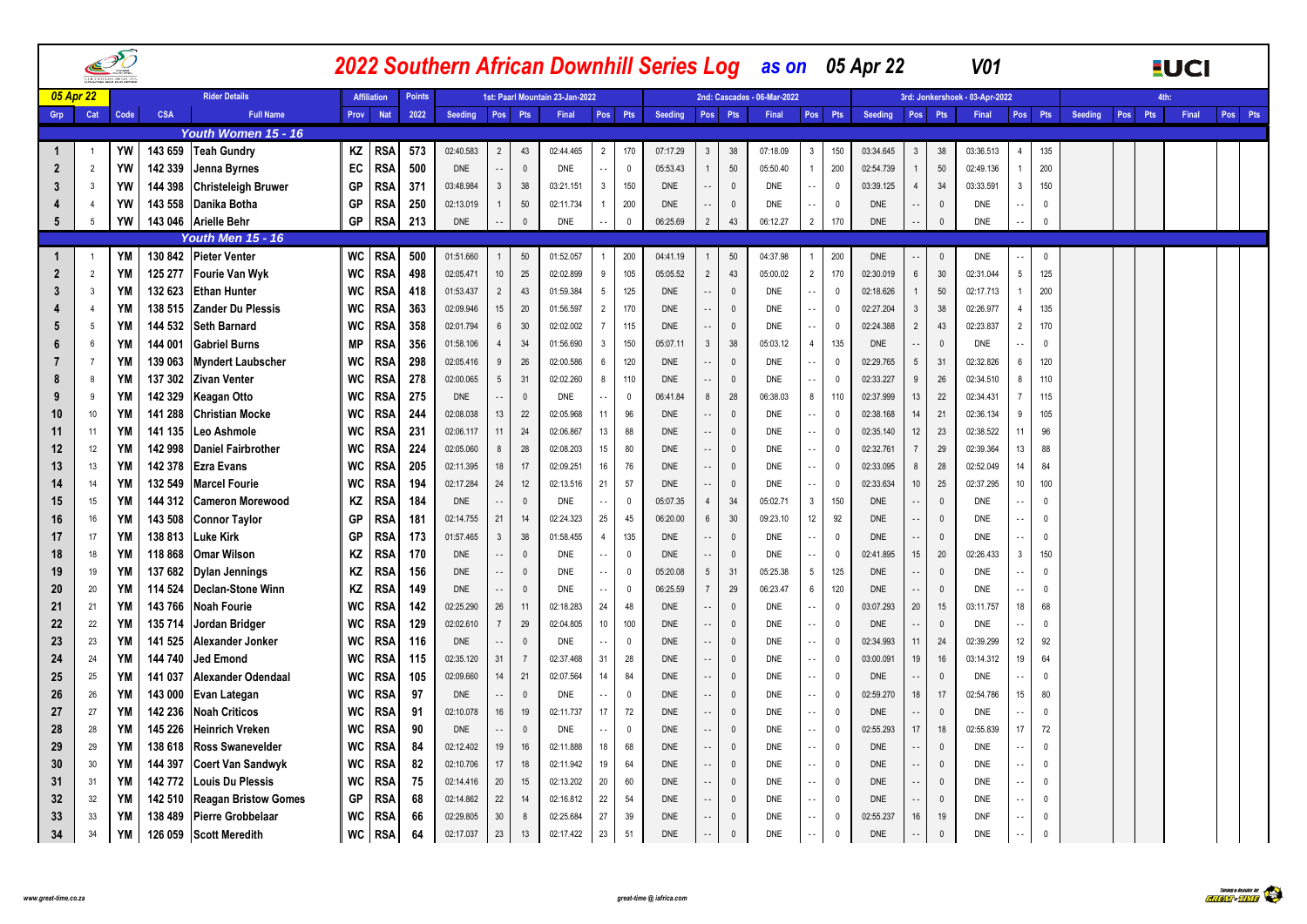|           |                |           |                    |                                                 |           |                    |               |                        |                            |                |                                 |                 |              |                          |                          |                          | 2022 Southern African Downhill Series Log as on 05 Apr 22 |                                                       |                          |                          |                   | V <sub>01</sub>                |                          |               |         |         | <b>EUCI</b> |         |
|-----------|----------------|-----------|--------------------|-------------------------------------------------|-----------|--------------------|---------------|------------------------|----------------------------|----------------|---------------------------------|-----------------|--------------|--------------------------|--------------------------|--------------------------|-----------------------------------------------------------|-------------------------------------------------------|--------------------------|--------------------------|-------------------|--------------------------------|--------------------------|---------------|---------|---------|-------------|---------|
| 05 Apr 22 |                |           |                    | <b>Rider Details</b>                            |           | <b>Affiliation</b> | <b>Points</b> |                        |                            |                | 1st: Paarl Mountain 23-Jan-2022 |                 |              |                          |                          |                          | 2nd: Cascades - 06-Mar-2022                               |                                                       |                          |                          |                   | 3rd: Jonkershoek - 03-Apr-2022 |                          |               |         |         |             |         |
| Grp       | Cat            | Code      | <b>CSA</b>         | <b>Full Name</b>                                | Prov      | <b>Nat</b>         | 2022          | Seeding                |                            | Pos Pts        | Final                           | Pos             | Pts          | Seeding                  | Pos Pts                  |                          | Final                                                     | Pos Pts                                               | Seeding                  | Pos                      | Pts               | Final                          | Pos Pts                  |               | Seeding | Pos Pts | Final       | Pos Pts |
|           |                |           |                    | Youth Women 15 - 16                             |           |                    |               |                        |                            |                |                                 |                 |              |                          |                          |                          |                                                           |                                                       |                          |                          |                   |                                |                          |               |         |         |             |         |
|           | $\overline{1}$ | YW        | 143 659            | <b>Teah Gundry</b>                              | ΚZ        | <b>RSA</b>         | 573           | 02:40.583              | $\overline{2}$             | 43             | 02:44.465                       | $\overline{2}$  | 170          | 07:17.29                 | 3                        | 38                       | 07:18.09                                                  | $\mathbf{3}$<br>150                                   | 03:34.645                | 3                        | 38                | 03:36.513                      |                          | 135           |         |         |             |         |
|           | $\overline{2}$ | YW        | 142 339            | Jenna Byrnes                                    | EC        | <b>RSA</b>         | 500           | <b>DNE</b>             | $\sim$ $\sim$              | $\mathbf 0$    | <b>DNE</b>                      | $\sim$ $\sim$   | $\mathbf 0$  | 05:53.43                 |                          | 50                       | 05:50.40                                                  | $\mathbf{1}$<br>200                                   | 02:54.739                | $\mathbf{1}$             | $50\,$            | 02:49.136                      |                          | 200           |         |         |             |         |
|           | 3              | YW        | 144 398            | <b>Christeleigh Bruwer</b>                      | GP        | RSA                | 371           | 03:48.984              | $\mathbf{3}$               | 38             | 03:21.151                       | $\mathbf{3}$    | 150          | <b>DNE</b>               |                          | $\mathbf{0}$             | DNE                                                       | $\mathbf 0$<br>$\sim$ $\sim$                          | 03:39.125                | $\overline{4}$           | 34                | 03:33.591                      | 3                        | 150           |         |         |             |         |
|           | $\overline{4}$ | YW        | 143 558            | Danika Botha                                    | GP        | RSA                | 250           | 02:13.019              | $\mathbf{1}$               | 50             | 02:11.734                       | $\mathbf{1}$    | 200          | <b>DNE</b>               |                          | $\Omega$                 | DNE                                                       | 0<br>$\sim$ $\sim$                                    | DNE                      | $\overline{\phantom{a}}$ | $\mathbf 0$       | DNE                            |                          | $\Omega$      |         |         |             |         |
| 5         | -5             | YW        |                    | 143 046 Arielle Behr                            | GP        | <b>RSA</b>         | 213           | <b>DNE</b>             | $\sim$                     | $\pmb{0}$      | DNE                             | å,              | $\Omega$     | 06:25.69                 | $\overline{2}$           | 43                       | 06:12.27                                                  | $\overline{2}$<br>170                                 | <b>DNE</b>               |                          | $\mathbf 0$       | <b>DNE</b>                     | $\sim$                   | $\Omega$      |         |         |             |         |
|           |                |           |                    | <b>Youth Men 15 - 16</b>                        |           |                    |               |                        |                            |                |                                 |                 |              |                          |                          |                          |                                                           |                                                       |                          |                          |                   |                                |                          |               |         |         |             |         |
|           | $\overline{1}$ | YM        | 130 842            | <b>Pieter Venter</b>                            | WC        | <b>RSA</b>         | 500           | 01:51.660              | $\overline{1}$             | 50             | 01:52.057                       | $\mathbf{1}$    | 200          | 04:41.19                 |                          | 50                       | 04:37.98                                                  | 200<br>$\overline{1}$                                 | <b>DNE</b>               | $\overline{\phantom{a}}$ | $\mathbf 0$       | <b>DNE</b>                     |                          | $\mathbf 0$   |         |         |             |         |
|           | $\overline{2}$ | ΥM        | 125 277            | Fourie Van Wyk                                  | WC        | <b>RSA</b>         | 498           | 02:05.471              | $10\,$                     | 25             | 02:02.899                       | 9               | 105          | 05:05.52                 | $\overline{2}$           | 43                       | 05:00.02                                                  | $\overline{2}$<br>170                                 | 02:30.019                | 6                        | 30                | 02:31.044                      | 5                        | 125           |         |         |             |         |
|           | $\mathbf{3}$   | ΥM        | 132 623            | <b>Ethan Hunter</b>                             | WC        | RSA                | 418           | 01:53.437              | $\overline{2}$             | 43             | 01:59.384                       | $5\phantom{.0}$ | 125          | <b>DNE</b>               |                          | $\mathbf{0}$             | <b>DNE</b>                                                | $\mathbf 0$<br>$\sim$ $\sim$                          | 02:18.626                | $\mathbf{1}$             | 50                | 02:17.713                      |                          | 200           |         |         |             |         |
|           | $\overline{4}$ | YM        | 138 515            | <b>Zander Du Plessis</b>                        | WC        | <b>RSA</b>         | 363           | 02:09.946              | 15                         | $20\,$         | 01:56.597                       | $\overline{2}$  | 170          | <b>DNE</b>               |                          | $\mathbf{0}$             | DNE                                                       | $\mathbf 0$<br>$\sim$ $\sim$                          | 02:27.204                | $\mathbf{3}$             | 38                | 02:26.977                      | $\overline{4}$           | 135           |         |         |             |         |
|           | 5              | ΥM        | 144 532            | <b>Seth Barnard</b>                             | WC        | RSA                | 358           | 02:01.794              | $6\phantom{.}6$            | 30             | 02:02.002                       | $\overline{7}$  | 115          | <b>DNE</b>               |                          | $\mathbf{0}$             | DNE                                                       | $\mathbf 0$<br>$\sim$ $-$                             | 02:24.388                | $\overline{2}$           | 43                | 02:23.837                      | $\overline{2}$           | 170           |         |         |             |         |
|           | 6              | YM        | 144 001            | <b>Gabriel Burns</b>                            | <b>MP</b> | RSA                | 356           | 01:58.106              | $\overline{4}$             | 34             | 01:56.690                       | $\mathbf{3}$    | 150          | 05:07.11                 | $\mathbf{3}$             | 38                       | 05:03.12                                                  | $\overline{4}$<br>135                                 | DNE                      | Ω,                       | $\mathbf 0$       | DNE                            |                          | $\mathbf{0}$  |         |         |             |         |
|           | $\overline{7}$ | YM        | 139 063            | <b>Myndert Laubscher</b>                        | WC        | RSA                | 298           | 02:05.416              | 9                          | 26             | 02:00.586                       | 6               | 120          | <b>DNE</b>               |                          | $\mathbf 0$              | <b>DNE</b>                                                | $\mathbf 0$<br>$\sim$                                 | 02:29.765                | $5\phantom{.0}$          | 31                | 02:32.826                      | 6                        | 120           |         |         |             |         |
|           | 8              | YM        | 137 302            | <b>Zivan Venter</b>                             | <b>WC</b> | RSA                | 278           | 02:00.065              | $5\phantom{.0}$            | 31             | 02:02.260                       | 8               | 110          | <b>DNE</b>               |                          | $\mathbf{0}$             | <b>DNE</b>                                                | 0<br>$\sim$ $\sim$                                    | 02:33.227                | 9                        | 26                | 02:34.510                      | 8                        | 110           |         |         |             |         |
|           | 9              | ΥM        | 142 329            | Keagan Otto                                     | WC        | RSA                | 275           | <b>DNE</b>             | $\sim$ $\sim$              | $\mathbf 0$    | DNE                             | $\sim$ $\sim$   | $\mathbf 0$  | 06:41.84                 | 8                        | 28                       | 06:38.03                                                  | 8<br>110                                              | 02:37.999                | 13                       | 22                | 02:34.431                      | $\overline{7}$           | 115           |         |         |             |         |
|           | 10             | YM        | 141 288            | Christian Mocke                                 | WC        | RSA                | 244           | 02:08.038              | 13                         | 22             | 02:05.968                       | 11              | 96           | <b>DNE</b>               |                          | $\mathbf{0}$             | DNE                                                       | $\mathbf{0}$<br>$\sim$                                | 02:38.168                | 14                       | 21                | 02:36.134                      | 9                        | 105           |         |         |             |         |
|           | 11             | YM        | 141 135            | Leo Ashmole                                     | <b>WC</b> | RSA                | 231           | 02:06.117              | 11                         | 24             | 02:06.867                       | 13              | 88           | <b>DNE</b>               | $\overline{\phantom{a}}$ | $\mathbf{0}$             | DNE                                                       | $\mathbf 0$<br>$\sim$ $\sim$                          | 02:35.140                | 12                       | 23                | 02:38.522                      | 11                       | 96            |         |         |             |         |
|           | 12             | YM        | 142 998            | <b>Daniel Fairbrother</b>                       | WC        | <b>RSA</b>         | 224           | 02:05.060              | 8                          | 28             | 02:08.203                       | 15              | 80           | <b>DNE</b>               |                          | $\mathbf{0}$             | DNE                                                       | $\sim$<br>$\mathbf 0$                                 | 02:32.761                | $\overline{7}$           | 29                | 02:39.364                      | 13                       | 88            |         |         |             |         |
|           | 13             | YM        | 142 378            | <b>Ezra Evans</b>                               | WC        | RSA                | 205           | 02:11.395              | 18                         | 17             | 02:09.251                       | 16              | 76           | <b>DNE</b>               |                          | $\mathbf{0}$             | DNE                                                       | $\mathbf 0$<br>$\sim$                                 | 02:33.095                | 8                        | 28                | 02:52.049                      | 14                       | 84            |         |         |             |         |
|           | 14             | YM        | 132 549            | <b>Marcel Fourie</b>                            | <b>WC</b> | RSA                | 194           | 02:17.284              | 24                         | 12             | 02:13.516                       | 21              | 57           | <b>DNE</b>               |                          | $\Omega$                 | <b>DNE</b>                                                | 0<br>$\sim$                                           | 02:33.634                | 10                       | 25                | 02:37.295                      | 10                       | 100           |         |         |             |         |
|           | 15             | YM        | 144 312            | <b>Cameron Morewood</b>                         | ΚZ        | RSA                | 184           | <b>DNE</b>             | $\sim$ $\sim$              | $\mathbf{0}$   | <b>DNE</b>                      | $\sim$          | $\mathbf{0}$ | 05:07.35                 | 4                        | 34                       | 05:02.71                                                  | $\mathbf{3}$<br>150                                   | <b>DNE</b>               | $\sim$ $\sim$            | $\mathbb O$       | <b>DNE</b>                     |                          | $\mathbf{0}$  |         |         |             |         |
| 16        | 16             | YM        | 143 508            | <b>Connor Taylor</b>                            | GP        | RSA                | 181           | 02:14.755              | 21                         | 14             | 02:24.323                       | 25              | 45           | 06:20.00                 | 6                        | 30                       | 09:23.10                                                  | 12<br>92                                              | <b>DNE</b>               | $\sim$ $-$               | $\mathbb O$       | DNE                            |                          | $\mathbf{0}$  |         |         |             |         |
|           | 17             | YM        | 138 813            | Luke Kirk                                       | GP        | RSA                | 173           | 01:57.465              | $\mathbf{3}$               | 38             | 01:58.455                       | $\overline{4}$  | 135          | <b>DNE</b>               |                          | $\Omega$                 | <b>DNE</b>                                                | $\overline{\mathbf{0}}$<br>$\sim$                     | <b>DNE</b>               | $\sim$ $\sim$            | $\mathbb O$       | <b>DNE</b>                     |                          | $\Omega$      |         |         |             |         |
|           | 18             | YM        | 118 868            | <b>Omar Wilson</b>                              | ΚZ        | RSA                | 170           | DNE                    | $\sim$ $\sim$              | $\mathbf{0}$   | DNE                             | $\sim$ $\sim$   | $\mathbf 0$  | <b>DNE</b>               |                          | $\mathbf{0}$             | DNE                                                       | 0<br>$\sim$ $\sim$                                    | 02:41.895                | 15                       | 20                | 02:26.433                      | $\mathbf{3}$             | 150           |         |         |             |         |
|           | 19             | YM        | 137 682            | <b>Dylan Jennings</b>                           | ΚZ        | RSA                | 156           | <b>DNE</b>             | $\sim$ $\sim$              | $\mathbf 0$    | <b>DNE</b>                      | $\sim$ $\sim$   | 0            | 05:20.08                 | 5                        | 31                       | 05:25.38                                                  | $5\overline{)}$<br>125                                | <b>DNE</b>               | $\overline{\phantom{a}}$ | $\mathbf 0$       | <b>DNE</b>                     |                          | $\mathbf{0}$  |         |         |             |         |
| 20        | 20             | YM        | 114 524            | Declan-Stone Winn                               | ΚZ        | RSA                | 149           | DNE                    | $\overline{\phantom{a}}$ . | $\mathbf 0$    | <b>DNE</b>                      | $\sim$ $-$      | $\mathbf{0}$ | 06:25.59                 |                          | 29                       | 06:23.47                                                  | 6<br>120                                              | <b>DNE</b>               | $\sim$ $-$               | $\mathbf 0$       | <b>DNE</b>                     |                          | $\mathbf{0}$  |         |         |             |         |
|           | 21             | YM        | 143 766            | <b>Noah Fourie</b>                              | WC        | RSA                | 142           | 02:25.290              | 26                         | 11             | 02:18.283                       | 24              | 48           | DNE                      |                          | $\mathbf 0$              | DNE                                                       | 0<br>$\cdot$ .                                        | 03:07.293                | 20                       | 15                | 03:11.757                      | 18                       | 68            |         |         |             |         |
| 22        | 22             | YM        | 135 714            | Jordan Bridger                                  | <b>WC</b> | RSA                | 129           | 02:02.610              | $\overline{7}$             | 29             | 02:04.805                       | 10              | 100          | <b>DNE</b>               |                          | $\Omega$                 | DNE                                                       | $\Omega$<br>$\sim$ $\sim$                             | DNE                      |                          | $\mathbf 0$       | <b>DNE</b>                     |                          | $\mathbf{0}$  |         |         |             |         |
| 23        | 23             | YM        | 141 525            | Alexander Jonker                                | WC        | <b>RSA</b>         | 116           | <b>DNE</b>             | $\sim$ $\sim$              | $\mathbf 0$    | <b>DNE</b>                      | $\sim$ $\sim$   | $\mathbf 0$  | <b>DNE</b>               |                          | $\mathbf 0$              | DNE                                                       | $\overline{0}$<br>$\sim$ $-$                          | 02:34.993                | 11                       | 24                | 02:39.299                      | 12                       | 92            |         |         |             |         |
|           | 24             | YM        | 144 740            | Jed Emond                                       | WC        | RSA                | 115           | 02:35.120              | 31                         | $\overline{7}$ | 02:37.468                       | 31              | 28           | <b>DNE</b>               |                          | $\Omega$                 | DNE                                                       | $\mathbf 0$<br>$\sim$ $\sim$                          | 03:00.091                | 19                       | 16                | 03:14.312                      | 19                       | 64            |         |         |             |         |
|           | 25             | YM        | 141 037            | Alexander Odendaal                              | WC        | RSA                | 105           | 02:09.660              | 14                         | 21             | 02:07.564                       | 14              | 84           | <b>DNE</b>               |                          | $\mathbf{0}$             | <b>DNE</b>                                                | $\overline{0}$<br>$\sim$ $\sim$                       | <b>DNE</b>               | $\overline{\phantom{a}}$ | $\mathbf 0$       | <b>DNE</b>                     |                          | 0             |         |         |             |         |
| 26        | 26             | YM        | 143 000            | Evan Lategan                                    | WC        | RSA                | 97            | <b>DNE</b>             | $\overline{\phantom{a}}$ . | $\mathbf{0}$   | DNE                             | $\sim$ $\sim$   | $\mathbf{0}$ | <b>DNE</b>               |                          | $\mathbf{0}$             | DNE                                                       | $\mathbf{0}$<br>$\sim$ $\sim$                         | 02:59.270                | 18                       | 17                | 02:54.786                      | 15                       | 80            |         |         |             |         |
| 27        | 27             | YM        | 142 236            | <b>Noah Criticos</b>                            | WC        | RSA                | 91            | 02:10.078              | 16                         | 19             | 02:11.737                       | 17              | 72           | <b>DNE</b>               |                          | $\mathbf{0}$             | DNE                                                       | $\mathbf 0$<br>$\sim$                                 | <b>DNE</b>               | $\overline{\phantom{a}}$ | $\mathbf 0$       | <b>DNE</b>                     | 17                       | $\Omega$      |         |         |             |         |
| 28        | 28             | YM        | 145 226            | Heinrich Vreken                                 | WC        | RSA                | 90            | <b>DNE</b>             | $\sim$ $\sim$              | $\mathbf 0$    | <b>DNE</b>                      | $\sim$ $\sim$   | $\mathbf 0$  | <b>DNE</b>               |                          | $\mathbf{0}$             | DNE                                                       | $\mathbf 0$<br>$\sim$ $\sim$                          | 02:55.293                | 17                       | 18                | 02:55.839                      |                          | 72            |         |         |             |         |
| 29        | 29             | ΥM        | 138 618            | <b>Ross Swanevelder</b>                         | WC        | RSA                | 84            | 02:12.402              | 19                         | 16             | 02:11.888                       | 18              | 68           | <b>DNE</b>               |                          | $\mathbf{0}$             | DNE                                                       | $\mathbf{0}$<br>$\sim$ $\sim$                         | <b>DNE</b>               | Ω,                       | $\mathbf 0$       | <b>DNE</b>                     |                          | 0             |         |         |             |         |
| 30        | 30             | ΥM<br>YM  | 144 397            | <b>Coert Van Sandwyk</b>                        | WC        | RSA                | 82<br>75      | 02:10.706              | 17                         | 18             | 02:11.942                       | 19              | 64           | <b>DNE</b>               |                          | $\Omega$                 | <b>DNE</b>                                                | $\mathbf{0}$<br>$\sim$ $\sim$                         | <b>DNE</b>               | Ц.                       | $\mathbb O$       | <b>DNE</b>                     | $\ddotsc$                | $\mathbf{0}$  |         |         |             |         |
|           | 31             | ΥM        | 142 772            | Louis Du Plessis<br><b>Reagan Bristow Gomes</b> | WC<br>GP  | RSA                | 68            | 02:14.416              | $20\,$                     | 15<br>14       | 02:13.202<br>02:16.812          | 20              | 60<br>54     | <b>DNE</b><br><b>DNE</b> |                          | $\mathbf{0}$<br>$\Omega$ | DNE<br><b>DNE</b>                                         | $\sim$ $\sim$<br>0<br>$\overline{0}$<br>$\sim$ $\sim$ | <b>DNE</b><br><b>DNE</b> | Ц.<br>Ц.                 | $\mathbf 0$       | DNE<br><b>DNE</b>              |                          | 0<br>$\Omega$ |         |         |             |         |
| 32        | 32<br>33       | YM        | 142 510<br>138 489 | Pierre Grobbelaar                               |           | RSA                | 66            | 02:14.862<br>02:29.805 | 22<br>30                   | 8              | 02:25.684                       | 22<br>27        | 39           | <b>DNE</b>               |                          | $\mathbf{0}$             |                                                           | 0                                                     | 02:55.237                | 16                       | $\mathbf 0$<br>19 |                                |                          | $\Omega$      |         |         |             |         |
| 33        | 34             | <b>YM</b> |                    |                                                 | WC<br>WC  | RSA                | 64            | 02:17.037              | 23                         | 13             | 02:17.422                       | 23              | 51           | <b>DNE</b>               |                          | $\mathbf{0}$             | DNE<br><b>DNE</b>                                         | $\ddotsc$<br>$\overline{0}$                           | <b>DNE</b>               | Ц.                       | $\mathbb O$       | DNF<br><b>DNE</b>              | $\overline{\phantom{a}}$ | $\mathbf{0}$  |         |         |             |         |
| 34        |                |           | 126 059            | <b>Scott Meredith</b>                           |           | <b>RSA</b>         |               |                        |                            |                |                                 |                 |              |                          |                          |                          |                                                           | $\sim$ $\sim$                                         |                          |                          |                   |                                | $\sim$ $\sim$            |               |         |         |             |         |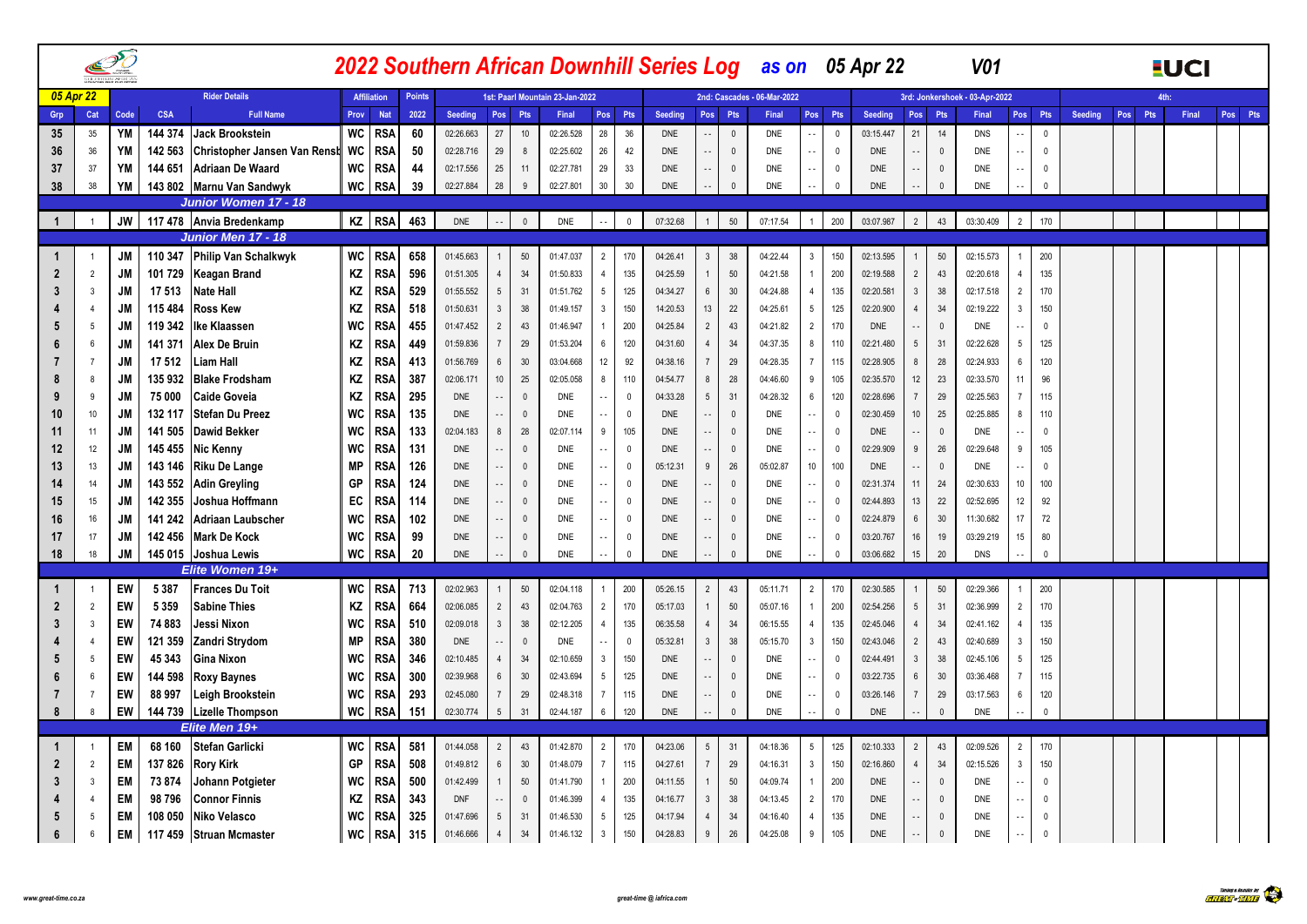|                |                 | $\mathcal{P}$   |                    |                                         |           |                          |               |                          |                            |                          | 2022 Southern African Downhill Series Log as on 05 Apr 22 |                                |                            |                          |                            |                             |                             |                     |                            |                        |                          |             | <b>V01</b>                     |                  |              |                |            | <b>EUCI</b> |         |
|----------------|-----------------|-----------------|--------------------|-----------------------------------------|-----------|--------------------------|---------------|--------------------------|----------------------------|--------------------------|-----------------------------------------------------------|--------------------------------|----------------------------|--------------------------|----------------------------|-----------------------------|-----------------------------|---------------------|----------------------------|------------------------|--------------------------|-------------|--------------------------------|------------------|--------------|----------------|------------|-------------|---------|
|                | 05 Apr 22       |                 |                    | <b>Rider Details</b>                    |           | <b>Affiliation</b>       | <b>Points</b> |                          |                            |                          | 1st: Paarl Mountain 23-Jan-2022                           |                                |                            |                          |                            |                             | 2nd: Cascades - 06-Mar-2022 |                     |                            |                        |                          |             | 3rd: Jonkershoek - 03-Apr-2022 |                  |              |                |            | 4th:        |         |
| Grp            | Cat             | Code            | <b>CSA</b>         | <b>Full Name</b>                        | Prov      | <b>Nat</b>               | 2022          | <b>Seeding</b>           | Pos                        | Pts                      | Final                                                     | Pos                            | Pts                        | Seeding                  | Pos Pts                    |                             | Final                       | Pos Pts             |                            | Seeding                | Pos                      | Pts         | Final                          | Pos <sup> </sup> | Pts          | <b>Seeding</b> | Pos<br>Pts | Final       | Pos Pts |
| 35             | 35              | YM              | 144 374            | Jack Brookstein                         | WC        | <b>RSA</b>               | 60            | 02:26.663                | 27                         | 10                       | 02:26.528                                                 | 28                             | 36                         | <b>DNE</b>               |                            | $\overline{0}$              | <b>DNE</b>                  | $\sim$              | $\Omega$                   | 03:15.447              | 21                       | 14          | <b>DNS</b>                     |                  | $\mathbf{0}$ |                |            |             |         |
| 36             | 36              | YM              | 142 563            | Christopher Jansen Van Renst WC         |           | <b>RSA</b>               | 50            | 02:28.716                | 29                         | 8                        | 02:25.602                                                 | 26                             | 42                         | <b>DNE</b>               | $\sim$ $\sim$              | $\mathbf 0$                 | <b>DNE</b>                  | $\sim$              | $\overline{0}$             | <b>DNE</b>             | ٠.                       | $\mathbb O$ | <b>DNE</b>                     |                  | $\mathbf{0}$ |                |            |             |         |
| 37             | 37              | YM              | 144 651            | <b>Adriaan De Waard</b>                 | <b>WC</b> | <b>RSA</b>               | 44            | 02:17.556                | 25                         | 11                       | 02:27.781                                                 | 29                             | 33                         | <b>DNE</b>               | $\overline{\phantom{a}}$   | $\overline{0}$              | DNE                         | $\sim$ $\sim$       | 0                          | <b>DNE</b>             |                          | $\mathbb O$ | <b>DNE</b>                     |                  | $\mathbf{0}$ |                |            |             |         |
| 38             | 38              | <b>YM</b>       | 143 802            | Marnu Van Sandwyk                       | WC        | <b>RSA</b>               | 39            | 02:27.884                | 28                         | 9                        | 02:27.801                                                 | 30                             | 30                         | <b>DNE</b>               | $\overline{\phantom{a}}$   | $\theta$                    | <b>DNE</b>                  |                     | $\theta$                   | <b>DNE</b>             |                          | $\Omega$    | <b>DNE</b>                     |                  | $\mathbf{0}$ |                |            |             |         |
|                |                 |                 |                    | <b>Junior Women 17 - 18</b>             |           |                          |               |                          |                            |                          |                                                           |                                |                            |                          |                            |                             |                             |                     |                            |                        |                          |             |                                |                  |              |                |            |             |         |
| $\mathbf{1}$   |                 | <b>JW</b>       |                    | 117 478 Anvia Bredenkamp                |           | KZ RSA                   | 463           | <b>DNE</b>               | $\ddotsc$                  | $\mathbf 0$              | <b>DNE</b>                                                | $\sim$ $\sim$                  | $\mathbb O$                | 07:32.68                 | $\mathbf{1}$               | 50                          | 07:17.54                    | 1                   | 200                        | 03:07.987              | $\overline{2}$           | 43          | 03:30.409                      | $\overline{2}$   | 170          |                |            |             |         |
|                |                 |                 |                    | <b>Junior Men 17 - 18</b>               |           |                          |               |                          |                            |                          |                                                           |                                |                            |                          |                            |                             |                             |                     |                            |                        |                          |             |                                |                  |              |                |            |             |         |
| 1              |                 | JM              | 110 347            | <b>Philip Van Schalkwyk</b>             | WC        | <b>RSA</b>               | 658           | 01:45.663                | $\overline{1}$             | 50                       | 01:47.037                                                 | $\overline{2}$                 | 170                        | 04:26.41                 | $\mathbf{3}$               | 38                          | 04:22.44                    | $\mathbf{3}$        | 150                        | 02:13.595              | 1                        | 50          | 02:15.573                      |                  | 200          |                |            |             |         |
| $\overline{2}$ | $\overline{2}$  | JM              | 101 729            | <b>Keagan Brand</b>                     | ΚZ        | <b>RSA</b>               | 596           | 01:51.305                | $\overline{4}$             | 34                       | 01:50.833                                                 | $\overline{4}$                 | 135                        | 04:25.59                 | $\mathbf{1}$               | $50\,$                      | 04:21.58                    | $\overline{1}$      | 200                        | 02:19.588              | $\overline{2}$           | 43          | 02:20.618                      | $\overline{4}$   | 135          |                |            |             |         |
| 3              | $\overline{3}$  | JM              | 17 513             | <b>Nate Hall</b>                        | ΚZ        | RSA                      | 529           | 01:55.552                | $5\phantom{.0}$            | 31                       | 01:51.762                                                 | 5                              | 125                        | 04:34.27                 | $6\overline{6}$            | 30                          | 04:24.88                    | $\overline{4}$      | 135                        | 02:20.581              | $\mathbf{3}$             | 38          | 02:17.518                      | $\overline{2}$   | 170          |                |            |             |         |
|                | $\overline{4}$  | <b>JM</b>       | 115 484            | <b>Ross Kew</b>                         | ΚZ        | <b>RSA</b>               | 518           | 01:50.631                | $\mathbf{3}$               | 38                       | 01:49.157                                                 | 3                              | 150                        | 14:20.53                 | 13                         | 22                          | 04:25.61                    | $5\phantom{.0}$     | 125                        | 02:20.900              | $\overline{4}$           | 34          | 02:19.222                      | 3                | 150          |                |            |             |         |
| 5              | 5               | JM              | 119 342            | <b>Ike Klaassen</b>                     | <b>WC</b> | <b>RSA</b>               | 455           | 01:47.452                | $\overline{2}$             | 43                       | 01:46.947                                                 |                                | 200                        | 04:25.84                 | $\overline{2}$             | 43                          | 04:21.82                    | $\overline{2}$      | 170                        | <b>DNE</b>             | $\sim$ $\sim$            | $\mathbf 0$ | <b>DNE</b>                     |                  | $\mathbf{0}$ |                |            |             |         |
| 6              | 6               | <b>JM</b>       | 141 371            | Alex De Bruin                           | ΚZ        | RSA                      | 449           | 01:59.836                | $\overline{7}$             | 29                       | 01:53.204                                                 | 6                              | 120                        | 04:31.60                 | 4                          | 34                          | 04:37.35                    | 8                   | 110                        | 02:21.480              | $5\phantom{.0}$          | 31          | 02:22.628                      | 5                | 125          |                |            |             |         |
|                | $\overline{7}$  | JM              | 17 512             | Liam Hall                               | ΚZ        | <b>RSA</b>               | 413           | 01:56.769                | $\,6\,$                    | $30\,$                   | 03:04.668                                                 | 12                             | 92                         | 04:38.16                 | $\overline{7}$             | 29                          | 04:28.35                    | $\overline{7}$      | 115                        | 02:28.905              | 8                        | 28          | 02:24.933                      | 6                | 120          |                |            |             |         |
| 8              | 8               | <b>JM</b>       | 135 932            | <b>Blake Frodsham</b>                   | ΚZ        | <b>RSA</b>               | 387           | 02:06.171                | 10                         | 25                       | 02:05.058                                                 | 8                              | 110                        | 04:54.77                 | 8                          | 28                          | 04:46.60                    | 9                   | 105                        | 02:35.570              | 12                       | 23          | 02:33.570                      |                  | 96           |                |            |             |         |
| 9              | 9               | JM              | 75 000             | <b>Caide Goveia</b>                     | ΚZ        | <b>RSA</b>               | 295           | <b>DNE</b>               | $\overline{\phantom{a}}$ . | $\mathbf{0}$             | <b>DNE</b>                                                | Ġ.                             | $\mathbb O$                | 04:33.28                 | 5                          | 31                          | 04:28.32                    | $6\overline{6}$     | 120                        | 02:28.696              | $\overline{7}$           | 29          | 02:25.563                      | $\overline{7}$   | 115          |                |            |             |         |
| 10             | 10              | JM              | 132 117            | Stefan Du Preez                         | WC        | <b>RSA</b>               | 135           | <b>DNE</b>               | $\sim$ $\sim$              | $\Omega$                 | <b>DNE</b>                                                | $\ddot{\phantom{a}}$           | $\mathbf 0$                | <b>DNE</b>               | $\sim$ $\sim$              | $\mathbb O$                 | DNE                         | $\sim$ $\sim$       | $\overline{0}$             | 02:30.459              | 10                       | 25          | 02:25.885                      | 8                | 110          |                |            |             |         |
| 11             | 11              | JM              | 141 505            | <b>Dawid Bekker</b>                     | WC        | <b>RSA</b>               | 133           | 02:04.183                | 8                          | 28                       | 02:07.114                                                 | 9                              | 105                        | <b>DNE</b>               | $\overline{\phantom{a}}$ . | $\mathbb O$                 | DNE                         | $\sim$ $\sim$       | 0                          | DNE                    | $\ddot{\phantom{1}}$     | $\mathbf 0$ | <b>DNE</b>                     |                  | $\mathbf{0}$ |                |            |             |         |
| 12             | 12              | JM              | 145 455            | <b>Nic Kenny</b>                        | WC        | <b>RSA</b>               | 131           | <b>DNE</b>               | $\overline{\phantom{a}}$   | $\Omega$                 | <b>DNE</b>                                                | $\sim$ $\sim$                  | $\mathbb O$                | <b>DNE</b>               | $\sim$ $\sim$              | $\mathbf 0$                 | <b>DNE</b>                  | $\sim$              | $\mathbf{0}$               | 02:29.909              | 9                        | 26          | 02:29.648                      | 9                | 105          |                |            |             |         |
| 13             | 13              | JM              | 143 146            | <b>Riku De Lange</b>                    | <b>MP</b> | <b>RSA</b>               | 126           | <b>DNE</b>               | $\sim$<br>$\sim$           | $\mathbf{0}$<br>$\Omega$ | <b>DNE</b>                                                | $\sim$ $\sim$<br>$\sim$ $\sim$ | $\mathbb O$                | 05:12.31                 | 9                          | 26                          | 05:02.87                    | 10<br>$\sim$ $\sim$ | 100                        | DNE                    | $\sim$ $\sim$            | $\mathbb O$ | <b>DNE</b>                     |                  | $\Omega$     |                |            |             |         |
| 14             | 14<br>15        | JM<br><b>JM</b> | 143 552<br>142 355 | <b>Adin Greyling</b><br>Joshua Hoffmann | GP        | RSA                      | 124<br>114    | <b>DNE</b><br><b>DNE</b> | $\sim$                     | $\mathbf{0}$             | <b>DNE</b>                                                |                                | $\mathbf 0$<br>$\mathbf 0$ | <b>DNE</b>               | $\sim$ $\sim$              | $\overline{0}$<br>$\pmb{0}$ | DNE                         | $\sim$ $\sim$       | $\overline{0}$<br>$\Omega$ | 02:31.374              | 11<br>13                 | 24<br>22    | 02:30.633                      | 10<br>12         | 100          |                |            |             |         |
| 15<br>16       | 16              | JM              | 141 242            | Adriaan Laubscher                       | EC<br>WC  | <b>RSA</b><br><b>RSA</b> | 102           | <b>DNE</b>               | $\sim$ $\sim$              | $\Omega$                 | <b>DNE</b><br><b>DNE</b>                                  | $\sim$ $\sim$                  | $\mathbb O$                | <b>DNE</b><br><b>DNE</b> | $\sim$ $\sim$              | $\overline{0}$              | DNE<br>DNE                  | $\sim$ $\sim$       | $\overline{0}$             | 02:44.893<br>02:24.879 | $\,6\,$                  | 30          | 02:52.695<br>11:30.682         | 17               | 92<br>72     |                |            |             |         |
| 17             | 17              | JM              | 142 456            | <b>Mark De Kock</b>                     | WC        | <b>RSA</b>               | 99            | <b>DNE</b>               | $\sim$ $\sim$              | $\mathbf{0}$             | <b>DNE</b>                                                | $\sim$                         | $\mathbf 0$                | <b>DNE</b>               | $\sim$ $\sim$              | $\mathbf{0}$                | <b>DNE</b>                  | $\sim$ $\sim$       | $\overline{0}$             | 03:20.767              | 16                       | 19          | 03:29.219                      | 15               | 80           |                |            |             |         |
| 18             | 18              | JM              | 145 015            | Joshua Lewis                            | WC        | <b>RSA</b>               | 20            | <b>DNE</b>               |                            | $\mathbf 0$              | DNE                                                       |                                | $\mathbf{0}$               | DNE                      | $\overline{a}$             | $\mathbb O$                 | DNE                         | $\sim$ $\sim$       | $\mathbf 0$                | 03:06.682              | 15 <sup>15</sup>         | 20          | <b>DNS</b>                     |                  | $\mathbf{0}$ |                |            |             |         |
|                |                 |                 |                    | Elite Women 19+                         |           |                          |               |                          |                            |                          |                                                           |                                |                            |                          |                            |                             |                             |                     |                            |                        |                          |             |                                |                  |              |                |            |             |         |
| 1              |                 | EW              | 5 3 8 7            | Frances Du Toit                         | WC        | <b>RSA</b>               | 713           | 02:02.963                | $\overline{1}$             | $50\,$                   | 02:04.118                                                 |                                | 200                        | 05:26.15                 | $\overline{2}$             | 43                          | 05:11.71                    | $\overline{2}$      | 170                        | 02:30.585              | $\mathbf{1}$             | $50\,$      | 02:29.366                      |                  | 200          |                |            |             |         |
| $\overline{2}$ | $\overline{2}$  | EW              | 5 3 5 9            | <b>Sabine Thies</b>                     | ΚZ        | <b>RSA</b>               | 664           | 02:06.085                | $\overline{2}$             | 43                       | 02:04.763                                                 | $\overline{2}$                 | 170                        | 05:17.03                 | $\mathbf{1}$               | $50\,$                      | 05:07.16                    | $\overline{1}$      | 200                        | 02:54.256              | 5                        | 31          | 02:36.999                      | $\overline{2}$   | 170          |                |            |             |         |
| 3              | 3               | EW              | 74 883             | Jessi Nixon                             | <b>WC</b> | <b>RSA</b>               | 510           | 02:09.018                | $\mathbf{3}$               | 38                       | 02:12.205                                                 | $\overline{4}$                 | 135                        | 06:35.58                 | $\overline{4}$             | 34                          | 06:15.55                    | $\overline{4}$      | 135                        | 02:45.046              | $\overline{4}$           | 34          | 02:41.162                      | $\overline{4}$   | 135          |                |            |             |         |
|                | $\overline{4}$  | EW              | 121 359            | Zandri Strydom                          | <b>MP</b> | <b>RSA</b>               | 380           | <b>DNE</b>               | $\sim$ $\sim$              | $\mathbf{0}$             | DNE                                                       | $\sim$ $\sim$                  | $\mathbb O$                | 05:32.81                 | $\mathbf{3}$               | 38                          | 05:15.70                    | $\mathbf{3}$        | 150                        | 02:43.046              | $\overline{2}$           | 43          | 02:40.689                      | 3                | 150          |                |            |             |         |
| 5              | -5              | EW              | 45 343             | <b>Gina Nixon</b>                       | <b>WC</b> | <b>RSA</b>               | 346           | 02:10.485                | $\overline{4}$             | 34                       | 02:10.659                                                 | 3                              | 150                        | <b>DNE</b>               | $\sim$ $\sim$              | $\overline{0}$              | DNE                         | $\sim$ $\sim$       | - 0                        | 02:44.491              | $\mathfrak{Z}$           | 38          | 02:45.106                      | 5                | 125          |                |            |             |         |
| 6              | 6               | EW              | 144 598            | <b>Roxy Baynes</b>                      | <b>WC</b> | <b>RSA</b>               | 300           | 02:39.968                | $6\phantom{.0}$            | 30                       | 02:43.694                                                 | -5                             | 125                        | <b>DNE</b>               | $\sim$ $\sim$              | $\mathbb O$                 | <b>DNE</b>                  | $\sim$ .            | $\overline{0}$             | 03:22.735              | $6\overline{6}$          | 30          | 03:36.468                      | $\overline{7}$   | 115          |                |            |             |         |
|                |                 | EW              | 88 997             | Leigh Brookstein                        | <b>WC</b> | <b>RSA</b>               | 293           | 02:45.080                | $\overline{7}$             | 29                       | 02:48.318                                                 | 7                              | 115                        | <b>DNE</b>               |                            | $\overline{0}$              | DNE                         | $\sim$              | $\overline{0}$             | 03:26.146              | $\overline{7}$           | 29          | 03:17.563                      | 6                | 120          |                |            |             |         |
| 8              | 8               | EW              | 144 739            | <b>Lizelle Thompson</b>                 | WC        | <b>RSA</b>               | 151           | 02:30.774                | 5                          | 31                       | 02:44.187                                                 |                                | 120                        | <b>DNE</b>               |                            | $\theta$                    | <b>DNE</b>                  |                     | $\mathbf{0}$               | <b>DNE</b>             |                          | $\Omega$    | <b>DNE</b>                     |                  | $\mathbf{0}$ |                |            |             |         |
|                |                 |                 |                    | Elite Men 19+                           |           |                          |               |                          |                            |                          |                                                           |                                |                            |                          |                            |                             |                             |                     |                            |                        |                          |             |                                |                  |              |                |            |             |         |
|                |                 | <b>EM</b>       | 68 160             | Stefan Garlicki                         | <b>WC</b> | <b>RSA</b>               | 581           | 01:44.058                | $\overline{2}$             | 43                       | 01:42.870                                                 | $\overline{2}$                 | 170                        | 04:23.06                 | $5\overline{)}$            | 31                          | 04:18.36                    | 5 <sup>5</sup>      | 125                        | 02:10.333              | $\overline{2}$           | 43          | 02:09.526                      | $\overline{2}$   | 170          |                |            |             |         |
| $\overline{2}$ | $\overline{2}$  | EM              | 137 826            | <b>Rory Kirk</b>                        | GP        | <b>RSA</b>               | 508           | 01:49.812                | $\,6\,$                    | 30                       | 01:48.079                                                 | $\overline{7}$                 | 115                        | 04:27.61                 | $\overline{7}$             | 29                          | 04:16.31                    | $\mathbf{3}$        | 150                        | 02:16.860              | $\overline{4}$           | 34          | 02:15.526                      | $\mathbf{3}$     | 150          |                |            |             |         |
| 3              | $\overline{3}$  | EM              | 73 874             | Johann Potgieter                        | WC        | RSA                      | 500           | 01:42.499                | $\mathbf{1}$               | $50\,$                   | 01:41.790                                                 |                                | 200                        | 04:11.55                 | $\mathbf{1}$               | $50\,$                      | 04:09.74                    | $\mathbf{1}$        | 200                        | <b>DNE</b>             | $\sim$ $\sim$            | $\mathbb O$ | <b>DNE</b>                     |                  | $\mathbf{0}$ |                |            |             |         |
|                | $\overline{4}$  | EM              | 98796              | <b>Connor Finnis</b>                    | ΚZ        | <b>RSA</b>               | 343           | <b>DNF</b>               |                            | $\mathbf{0}$             | 01:46.399                                                 | $\overline{4}$                 | 135                        | 04:16.77                 | $\mathbf{3}$               | 38                          | 04:13.45                    | $\overline{2}$      | 170                        | <b>DNE</b>             |                          | $\mathbb O$ | <b>DNE</b>                     |                  | $\mathbf{0}$ |                |            |             |         |
| 5              | 5               | EM              | 108 050            | Niko Velasco                            | <b>WC</b> | RSA                      | 325           | 01:47.696                | $5\overline{)}$            | 31                       | 01:46.530                                                 | 5                              | 125                        | 04:17.94                 | $\overline{4}$             | 34                          | 04:16.40                    | $\overline{4}$      | 135                        | <b>DNE</b>             | $\overline{\phantom{a}}$ | $\mathbb O$ | <b>DNE</b>                     |                  | $\mathbf{0}$ |                |            |             |         |
| 6              | $6\phantom{1}6$ | <b>EM</b>       | 117 459            | <b>Struan Mcmaster</b>                  | WC        | <b>RSA</b>               | 315           | 01:46.666                | $\overline{4}$             | 34                       | 01:46.132                                                 | 3                              | 150                        | 04:28.83                 | 9                          | 26                          | 04:25.08                    | 9                   | 105                        | <b>DNE</b>             | Ξ.                       | $\mathbb O$ | <b>DNE</b>                     | $\sim$           | $\mathbf{0}$ |                |            |             |         |

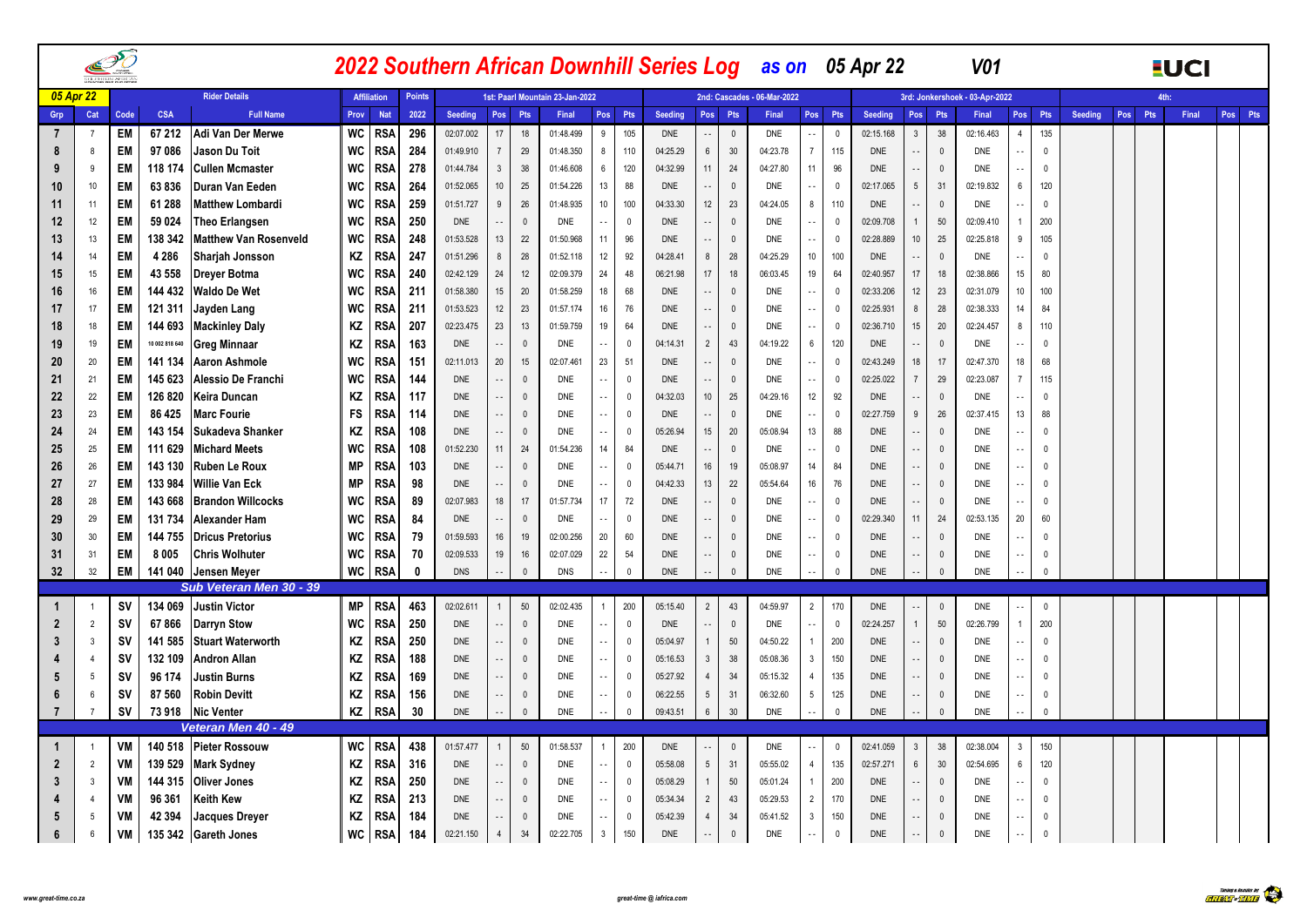|                |           |                | PÕ        |                |                                                |                 |                    |                    |            |                            |                | 2022 Southern African Downhill Series Log as on 05 Apr 22 |                |                |                          |                            |                                  |                             |                 |                |            |                          |                          | <b>V01</b>                     |                 |              |                |     |     | <b>EUCI</b> |         |
|----------------|-----------|----------------|-----------|----------------|------------------------------------------------|-----------------|--------------------|--------------------|------------|----------------------------|----------------|-----------------------------------------------------------|----------------|----------------|--------------------------|----------------------------|----------------------------------|-----------------------------|-----------------|----------------|------------|--------------------------|--------------------------|--------------------------------|-----------------|--------------|----------------|-----|-----|-------------|---------|
|                | 05 Apr 22 |                |           |                | <b>Rider Details</b>                           |                 | <b>Affiliation</b> | <b>Points</b>      |            |                            |                | 1st: Paarl Mountain 23-Jan-2022                           |                |                |                          |                            |                                  | 2nd: Cascades - 06-Mar-2022 |                 |                |            |                          |                          | 3rd: Jonkershoek - 03-Apr-2022 |                 |              |                |     |     | 4th:        |         |
| Grp            |           | Cat            | Code      | <b>CSA</b>     | <b>Full Name</b>                               | Prov            | <b>Nat</b>         | 2022               | Seeding    | Pos                        | Pts            | Final                                                     | Pos            | Pts            | Seeding                  |                            | Pos Pts                          | Final                       | Pos             | Pts            | Seeding    | Pos                      | Pts                      | Final                          | Pos             | Pts          | <b>Seeding</b> | Pos | Pts | Final       | Pos Pts |
| 7              |           | -7             | EM        | 67 212         | Adi Van Der Merwe                              | WC              | <b>RSA</b>         | 296                | 02:07.002  | 17                         | 18             | 01:48.499                                                 | 9              | 105            | <b>DNE</b>               | $\overline{\phantom{a}}$   | $\overline{0}$                   | <b>DNE</b>                  | $\sim$          | $\mathbf 0$    | 02:15.168  | $\overline{3}$           | $38\,$                   | 02:16.463                      | $\overline{4}$  | 135          |                |     |     |             |         |
| 8              |           | 8              | EM        | 97 086         | Jason Du Toit                                  | <b>WC</b>       | RSA                | 284                | 01:49.910  | $\overline{7}$             | 29             | 01:48.350                                                 | 8              | 110            | 04:25.29                 | $6\overline{6}$            | 30                               | 04:23.78                    | $7^{\circ}$     | 115            | <b>DNE</b> | $\overline{\phantom{a}}$ | $\Omega$                 | <b>DNE</b>                     | $\sim$ $\sim$   | $\Omega$     |                |     |     |             |         |
| 9              |           | 9              | EM        | 118 174        | <b>Cullen Mcmaster</b>                         | <b>WC</b>       | <b>RSA</b>         | 278                | 01:44.784  | $\mathbf{3}$               | 38             | 01:46.608                                                 | 6              | 120            | 04:32.99                 | 11                         | 24                               | 04:27.80                    | 11              | 96             | DNE        | ٠.                       | $\mathbf{0}$             | <b>DNE</b>                     | $\sim$ $\sim$   | $\mathbf{0}$ |                |     |     |             |         |
| 10             |           | 10             | EM        | 63836          | Duran Van Eeden                                | <b>WC</b>       | RSA                | 264                | 01:52.065  | 10 <sup>1</sup>            | 25             | 01:54.226                                                 | 13             | 88             | <b>DNE</b>               | $\sim$                     | $\,$ 0                           | <b>DNE</b>                  | $\sim$ $\sim$   | $\Omega$       | 02:17.065  | $5\overline{)}$          | 31                       | 02:19.832                      | $6\overline{6}$ | 120          |                |     |     |             |         |
| 11             |           | 11             | EM        | 61 288         | <b>Matthew Lombardi</b>                        | <b>WC</b>       | <b>RSA</b>         | 259                | 01:51.727  | 9                          | 26             | 01:48.935                                                 | 10             | 100            | 04:33.30                 | 12                         | 23                               | 04:24.05                    | 8               | 110            | <b>DNE</b> | $\overline{\phantom{a}}$ | $\mathbf{0}$             | <b>DNE</b>                     | ٠.              | $\mathbf 0$  |                |     |     |             |         |
| 12             |           | 12             | EM        | 59 0 24        | <b>Theo Erlangsen</b>                          | <b>WC</b>       | <b>RSA</b>         | 250                | <b>DNE</b> | $\ddotsc$                  | $^{\circ}$     | <b>DNE</b>                                                |                | $\Omega$       | <b>DNE</b>               | $\overline{\phantom{a}}$   | $\overline{\mathbf{0}}$          | <b>DNE</b>                  | $\sim$          | $\overline{0}$ | 02:09.708  | 1                        | 50                       | 02:09.410                      | $\overline{1}$  | 200          |                |     |     |             |         |
| 13             |           | 13             | EM        | 138 342        | <b>Matthew Van Rosenveld</b>                   | <b>WC</b>       | RSA                | 248                | 01:53.528  | 13                         | 22             | 01:50.968                                                 | 11             | 96             | <b>DNE</b>               | $\sim$ $\sim$              | $\mathbb O$                      | <b>DNE</b>                  | $\sim$          | $\overline{0}$ | 02:28.889  | 10                       | 25                       | 02:25.818                      | 9               | 105          |                |     |     |             |         |
| 14             |           | 14             | EM        | 4 2 8 6        | Sharjah Jonsson                                | ΚZ              | <b>RSA</b>         | 247                | 01:51.296  | $\bf 8$                    | 28             | 01:52.118                                                 | $12\,$         | 92             | 04:28.41                 | 8                          | 28                               | 04:25.29                    | 10              | 100            | <b>DNE</b> | $\overline{\phantom{a}}$ | $\mathbf{0}$             | <b>DNE</b>                     | $\sim$ $\sim$   | $\mathbf{0}$ |                |     |     |             |         |
| 15             |           | 15             | EM        | 43 558         | Dreyer Botma                                   | <b>WC</b>       | RSA                | 240                | 02:42.129  | 24                         | 12             | 02:09.379                                                 | 24             | 48             | 06:21.98                 | 17                         | 18                               | 06:03.45                    | 19              | 64             | 02:40.957  | 17                       | 18                       | 02:38.866                      | 15              | 80           |                |     |     |             |         |
| 16             |           | 16             | EM        | 144 432        | <b>Waldo De Wet</b>                            | <b>WC</b>       | RSA                | 211                | 01:58.380  | 15 <sup>15</sup>           | 20             | 01:58.259                                                 | 18             | 68             | <b>DNE</b>               | $\sim$ $\sim$              | $\mathbb O$                      | <b>DNE</b>                  | $\sim$ $-$      | - 0            | 02:33.206  | 12                       | 23                       | 02:31.079                      | 10              | 100          |                |     |     |             |         |
| 17             |           | 17             | EM        | 121 311        | Jayden Lang                                    | <b>WC</b>       | <b>RSA</b>         | 211                | 01:53.523  | 12                         | 23             | 01:57.174                                                 | 16             | 76             | <b>DNE</b>               |                            | $\overline{0}$                   | DNE                         | $\sim$ $-$      | - 0            | 02:25.931  | 8                        | 28                       | 02:38.333                      | 14              | 84           |                |     |     |             |         |
| 18             |           | 18             | EM        | 144 693        | <b>Mackinley Daly</b>                          | ΚZ              | RSA                | 207                | 02:23.475  | 23                         | 13             | 01:59.759                                                 | 19             | 64             | <b>DNE</b>               | $\sim$ $\sim$              | $\overline{0}$                   | <b>DNE</b>                  | $\sim$ $\sim$   | - 0            | 02:36.710  | 15                       | 20                       | 02:24.457                      | 8               | 110          |                |     |     |             |         |
| 19             |           | 19             | EM        | 10 002 818 640 | <b>Greg Minnaar</b>                            | ΚZ              | <b>RSA</b>         | 163                | <b>DNE</b> | $\sim$ $-$                 | $\Omega$       | <b>DNE</b>                                                | ă.             | $\Omega$       | 04:14.31                 | $\overline{2}$             | 43                               | 04:19.22                    | $6\overline{6}$ | 120            | <b>DNE</b> | $\overline{\phantom{a}}$ | $\mathbf{0}$             | <b>DNE</b>                     |                 | 0            |                |     |     |             |         |
| 20             |           | 20             | EM        | 141 134        | <b>Aaron Ashmole</b>                           | <b>WC</b>       | <b>RSA</b>         | 151                | 02:11.013  | 20                         | 15             | 02:07.461                                                 | 23             | 51             | <b>DNE</b>               | $\overline{\phantom{a}}$   | $\mathbb O$                      | <b>DNE</b>                  | $\sim$ $\sim$   | $\mathbf{0}$   | 02:43.249  | 18                       | 17                       | 02:47.370                      | 18              | 68           |                |     |     |             |         |
| 21             |           | 21             | <b>EM</b> | 145 623        | Alessio De Franchi                             | <b>WC</b>       | <b>RSA</b>         | 144                | <b>DNE</b> |                            | $\Omega$       | <b>DNE</b>                                                | $\sim$         | $\Omega$       | <b>DNE</b>               | $\sim$ $\sim$              | $\mathbf{0}$                     | <b>DNE</b>                  | $\sim$          | 0              | 02:25.022  | $\overline{7}$           | 29                       | 02:23.087                      | $\overline{7}$  | 115          |                |     |     |             |         |
| 22             |           | 22             | EM        | 126 820        | Keira Duncan                                   | ΚZ              | <b>RSA</b>         | 117                | <b>DNE</b> | $\sim$                     | $\mathbf{0}$   | <b>DNE</b>                                                | $\sim$ $\sim$  | $\mathbf 0$    | 04:32.03                 | 10                         | 25                               | 04:29.16                    | 12              | 92             | <b>DNE</b> | $\overline{\phantom{a}}$ | $\mathbf{0}$             | DNE                            | $\sim$ $\sim$   | 0            |                |     |     |             |         |
| 23             |           | 23             | EM        | 86 4 25        | <b>Marc Fourie</b>                             | FS              | <b>RSA</b>         | 114                | <b>DNE</b> | $\sim$ $\sim$              | $\mathbf{0}$   | <b>DNE</b>                                                | $\sim$         | 0              | <b>DNE</b>               | $\sim$ $\sim$              | $\overline{\mathbf{0}}$          | <b>DNE</b>                  | $\sim$ $\sim$   | - 0            | 02:27.759  | 9                        | $26\,$                   | 02:37.415                      | 13              | 88           |                |     |     |             |         |
| 24             |           | 24             | EM        | 143 154        | Sukadeva Shanker                               | ΚZ              | <b>RSA</b>         | 108                | <b>DNE</b> | $\ddotsc$                  | $\mathbf{0}$   | <b>DNE</b>                                                | ٠.             | $\mathbf 0$    | 05:26.94                 | 15                         | 20                               | 05:08.94                    | 13              | 88             | <b>DNE</b> | ٠.                       | $\mathbf{0}$             | <b>DNE</b>                     | $\sim$ $\sim$   | $\mathbf{0}$ |                |     |     |             |         |
| 25             |           | 25             | EM        | 111 629        | <b>Michard Meets</b>                           | <b>WC</b>       | <b>RSA</b>         | 108                | 01:52.230  | 11                         | 24             | 01:54.236                                                 | 14             | 84             | <b>DNE</b>               | $\sim$ $\sim$              | $\overline{\mathbf{0}}$          | <b>DNE</b>                  | $\sim$ $\sim$   | $\Omega$       | <b>DNE</b> | $\overline{\phantom{a}}$ | $\mathbb O$              | <b>DNE</b>                     | $\sim$ $\sim$   | $\Omega$     |                |     |     |             |         |
| 26             |           | 26             | EM        | 143 130        | <b>Ruben Le Roux</b>                           | МP              | RSA                | 103                | <b>DNE</b> | $\overline{\phantom{a}}$   | $\mathbf{0}$   | <b>DNE</b>                                                | ٠.             | $\mathbf 0$    | 05:44.71                 | 16                         | 19                               | 05:08.97                    | 14              | 84             | <b>DNE</b> | $\overline{\phantom{a}}$ | $\mathbf{0}$             | <b>DNE</b>                     | $\sim$ $\sim$   | $\mathbf{0}$ |                |     |     |             |         |
| 27             |           | 27             | <b>EM</b> | 133 984        | <b>Willie Van Eck</b>                          | МP              | RSA                | 98                 | <b>DNE</b> | $\ddotsc$                  | $\mathbf{0}$   | <b>DNE</b>                                                | ă.             | $\Omega$       | 04:42.33                 | 13                         | 22                               | 05:54.64                    | 16              | 76             | <b>DNE</b> | $\overline{\phantom{a}}$ | $\mathbf{0}$             | <b>DNE</b>                     | $\sim$ $\sim$   | $\Omega$     |                |     |     |             |         |
| 28             |           | 28             | EM        | 143 668        | <b>Brandon Willcocks</b>                       | <b>WC</b>       | <b>RSA</b>         | 89                 | 02:07.983  | 18                         | 17             | 01:57.734                                                 | 17             | 72             | <b>DNE</b>               | $\overline{a}$             | $\mathbb O$                      | <b>DNE</b>                  | $\sim$          | $\mathbf{0}$   | <b>DNE</b> | ٠.                       | $\mathbf{0}$             | DNE                            | .,              | $\mathbf{0}$ |                |     |     |             |         |
| 29             |           | 29             | EM        | 131 734        | <b>Alexander Ham</b>                           | <b>WC</b>       | <b>RSA</b>         | 84                 | <b>DNE</b> | $\overline{\phantom{a}}$   | $\mathbf{0}$   | <b>DNE</b>                                                | ă.             | $\Omega$       | <b>DNE</b>               | $\overline{\phantom{a}}$ . | $\overline{0}$                   | <b>DNE</b>                  | $\sim$          | $\overline{0}$ | 02:29.340  | 11                       | 24                       | 02:53.135                      | 20              | 60           |                |     |     |             |         |
| 30             |           | 30             | EM        | 144 755        | <b>Dricus Pretorius</b>                        | <b>WC</b>       | <b>RSA</b>         | 79                 | 01:59.593  | 16                         | 19             | 02:00.256                                                 | 20<br>22       | 60<br>54       | <b>DNE</b><br><b>DNE</b> | $\sim$ $\sim$              | $\overline{0}$<br>$\overline{0}$ | <b>DNE</b>                  | $\sim$ $\sim$   | $\mathbf{0}$   | <b>DNE</b> | Ω,                       | $\mathbf{0}$<br>$\Omega$ | <b>DNE</b>                     | $\ddotsc$       | $\mathbf{0}$ |                |     |     |             |         |
| 31<br>32       |           | 31             | EM        | 8005           | <b>Chris Wolhuter</b>                          | WC<br><b>WC</b> | <b>RSA</b>         | 70<br>$\mathbf{0}$ | 02:09.533  | 19                         | 16<br>$\Omega$ | 02:07.029                                                 |                | $\mathbf 0$    |                          | $\overline{\phantom{a}}$   | $\mathbb O$                      | <b>DNE</b>                  | $\sim$          | $\mathbf{0}$   | <b>DNE</b> | $\overline{\phantom{a}}$ | $\Omega$                 | <b>DNE</b>                     |                 | $\mathbf{0}$ |                |     |     |             |         |
|                |           | 32             | EM        | 141 040        | <b>Jensen Meyer</b><br>Sub Veteran Men 30 - 39 |                 | <b>RSA</b>         |                    | <b>DNS</b> |                            |                | <b>DNS</b>                                                |                |                | <b>DNE</b>               |                            |                                  | <b>DNE</b>                  | Ω,              | $\mathbf{0}$   | <b>DNE</b> |                          |                          | <b>DNE</b>                     | Ξ.              | $\mathbb O$  |                |     |     |             |         |
| $\mathbf 1$    |           |                | <b>SV</b> | 134 069        | <b>Justin Victor</b>                           | МP              | <b>RSA</b>         | 463                | 02:02.611  |                            | 50             | 02:02.435                                                 |                | 200            | 05:15.40                 | $\overline{2}$             | 43                               | 04:59.97                    | $2^{\circ}$     | 170            | <b>DNE</b> |                          | $\mathbf{0}$             | <b>DNE</b>                     |                 | $\mathbf 0$  |                |     |     |             |         |
| $\mathbf{2}$   |           | $\overline{2}$ | <b>SV</b> | 67866          | <b>Darryn Stow</b>                             | WC              | <b>RSA</b>         | 250                | <b>DNE</b> | $\overline{\phantom{a}}$   | $\Omega$       | <b>DNE</b>                                                | ă.             | $\mathbb O$    | <b>DNE</b>               | $\overline{\phantom{a}}$ . | $\mathbb O$                      | <b>DNE</b>                  | $\sim$          | $\mathbf 0$    | 02:24.257  | $\mathbf{1}$             | 50                       | 02:26.799                      | $\overline{1}$  | 200          |                |     |     |             |         |
| 3              |           | 3              | <b>SV</b> | 141 585        | <b>Stuart Waterworth</b>                       | ΚZ              | <b>RSA</b>         | 250                | <b>DNE</b> |                            | $\mathbf{0}$   | <b>DNE</b>                                                | Ц,             | $\mathbf{0}$   | 05:04.97                 | $\mathbf{1}$               | 50                               | 04:50.22                    | $\mathbf{1}$    | 200            | <b>DNE</b> | Ω,                       | $\mathbf{0}$             | <b>DNE</b>                     | $\ddotsc$       | $\mathbf 0$  |                |     |     |             |         |
|                |           | $\overline{a}$ | <b>SV</b> | 132 109        | <b>Andron Allan</b>                            | ΚZ              | <b>RSA</b>         | 188                | <b>DNE</b> | $\overline{\phantom{a}}$ . | $\mathbf{0}$   | <b>DNE</b>                                                | Ц,             | $\mathbf 0$    | 05:16.53                 | $\mathbf{3}$               | 38                               | 05:08.36                    | $\mathbf{3}$    | 150            | <b>DNE</b> | $\ddotsc$                | $\mathbf{0}$             | <b>DNE</b>                     | $\sim$ $\sim$   | $\mathbf{0}$ |                |     |     |             |         |
| 5              |           | 5              | <b>SV</b> | 96 174         | <b>Justin Burns</b>                            | ΚZ              | RSA                | 169                | <b>DNE</b> |                            | $\Omega$       | <b>DNE</b>                                                | ă.             | $\mathbf 0$    | 05:27.92                 | $\overline{4}$             | 34                               | 05:15.32                    | $\overline{4}$  | 135            | <b>DNE</b> | Ц,                       | $\mathbf{0}$             | DNE                            |                 | $\mathbf{0}$ |                |     |     |             |         |
| 6              |           | 6              | <b>SV</b> | 87 560         | <b>Robin Devitt</b>                            | ΚZ              | <b>RSA</b>         | 156                | <b>DNE</b> |                            | $\mathbf{0}$   | <b>DNE</b>                                                | ٠.             | $\mathbf{0}$   | 06:22.55                 | $5\phantom{.0}$            | 31                               | 06:32.60                    | 5 <sup>5</sup>  | 125            | <b>DNE</b> | ٠.                       | $\pmb{0}$                | <b>DNE</b>                     | $\sim$ $\sim$   | $\mathbf{0}$ |                |     |     |             |         |
| $\overline{7}$ |           | $\overline{7}$ | <b>SV</b> | 73918          | <b>Nic Venter</b>                              | KZ              | RSA                | 30                 | <b>DNE</b> |                            | $\mathbf{0}$   | <b>DNE</b>                                                | ă.             | $\Omega$       | 09:43.51                 | $6\phantom{.0}$            | 30                               | <b>DNE</b>                  | ÷.              | $\mathbf 0$    | <b>DNE</b> |                          | $\Omega$                 | <b>DNE</b>                     | Ц,              | $\mathbb O$  |                |     |     |             |         |
|                |           |                |           |                | Veteran Men 40 - 49                            |                 |                    |                    |            |                            |                |                                                           |                |                |                          |                            |                                  |                             |                 |                |            |                          |                          |                                |                 |              |                |     |     |             |         |
|                |           |                | VM        | 140 518        | <b>Pieter Rossouw</b>                          | <b>WC</b>       | <b>RSA</b>         | 438                | 01:57.477  |                            | 50             | 01:58.537                                                 | $\overline{1}$ | 200            | <b>DNE</b>               |                            | $\,$ 0                           | <b>DNE</b>                  | $\sim$          | $\mathbf{0}$   | 02:41.059  | $\overline{3}$           | 38                       | 02:38.004                      | 3               | 150          |                |     |     |             |         |
| $\mathbf{2}$   |           | $\overline{2}$ | VM        | 139 529        | <b>Mark Sydney</b>                             | ΚZ              | <b>RSA</b>         | 316                | DNE        | Ξ.                         | $\mathbf{0}$   | <b>DNE</b>                                                | Ц,             | $\overline{0}$ | 05:58.08                 | $5\overline{)}$            | 31                               | 05:55.02                    | $\overline{4}$  | 135            | 02:57.271  | $6\phantom{a}$           | 30                       | 02:54.695                      | 6               | 120          |                |     |     |             |         |
| 3              |           | $\mathbf{3}$   | VM        | 144 315        | <b>Oliver Jones</b>                            | ΚZ              | RSA                | 250                | <b>DNE</b> | $\sim$ $\sim$              | $\mathbf{0}$   | <b>DNE</b>                                                | н,             | $\mathbf 0$    | 05:08.29                 | $\mathbf{1}$               | 50                               | 05:01.24                    | $\mathbf{1}$    | 200            | <b>DNE</b> | $\overline{\phantom{a}}$ | $\mathbf{0}$             | <b>DNE</b>                     | $\sim$ $-$      | $\mathbf{0}$ |                |     |     |             |         |
|                |           | $\overline{4}$ | VM        | 96 361         | <b>Keith Kew</b>                               | KZ              | RSA                | 213                | <b>DNE</b> | $\overline{\phantom{a}}$ . | $\mathbf{0}$   | <b>DNE</b>                                                | Ц,             | $\mathbf{0}$   | 05:34.34                 | $\overline{2}$             | 43                               | 05:29.53                    | $\overline{2}$  | 170            | <b>DNE</b> | Ω,                       | $\mathbf{0}$             | <b>DNE</b>                     | $\sim$ $-$      | $\mathbf{0}$ |                |     |     |             |         |
| 5              |           | 5              | VM        | 42 394         | <b>Jacques Drever</b>                          | ΚZ              | RSA                | 184                | <b>DNE</b> | $\sim$ $\sim$              | $\Omega$       | <b>DNE</b>                                                | ă.             | $\Omega$       | 05:42.39                 | $\overline{4}$             | 34                               | 05:41.52                    | $\mathbf{3}$    | 150            | <b>DNE</b> | $\overline{\phantom{a}}$ | $\mathbf 0$              | <b>DNE</b>                     | $\sim$ $\sim$   | $\mathbf{0}$ |                |     |     |             |         |
| 6              |           | 6              | VM        |                | 135 342 Gareth Jones                           | WC              | <b>RSA</b>         | 184                | 02:21.150  | $\overline{4}$             | 34             | 02:22.705                                                 | 3              | 150            | <b>DNE</b>               |                            | $\mathbf 0$                      | DNE                         | $\ddotsc$       | $\mathbf 0$    | <b>DNE</b> | $\overline{\phantom{a}}$ | $\mathbf{0}$             | <b>DNE</b>                     | $\sim$ $\sim$   | $\mathbf{0}$ |                |     |     |             |         |
|                |           |                |           |                |                                                |                 |                    |                    |            |                            |                |                                                           |                |                |                          |                            |                                  |                             |                 |                |            |                          |                          |                                |                 |              |                |     |     |             |         |

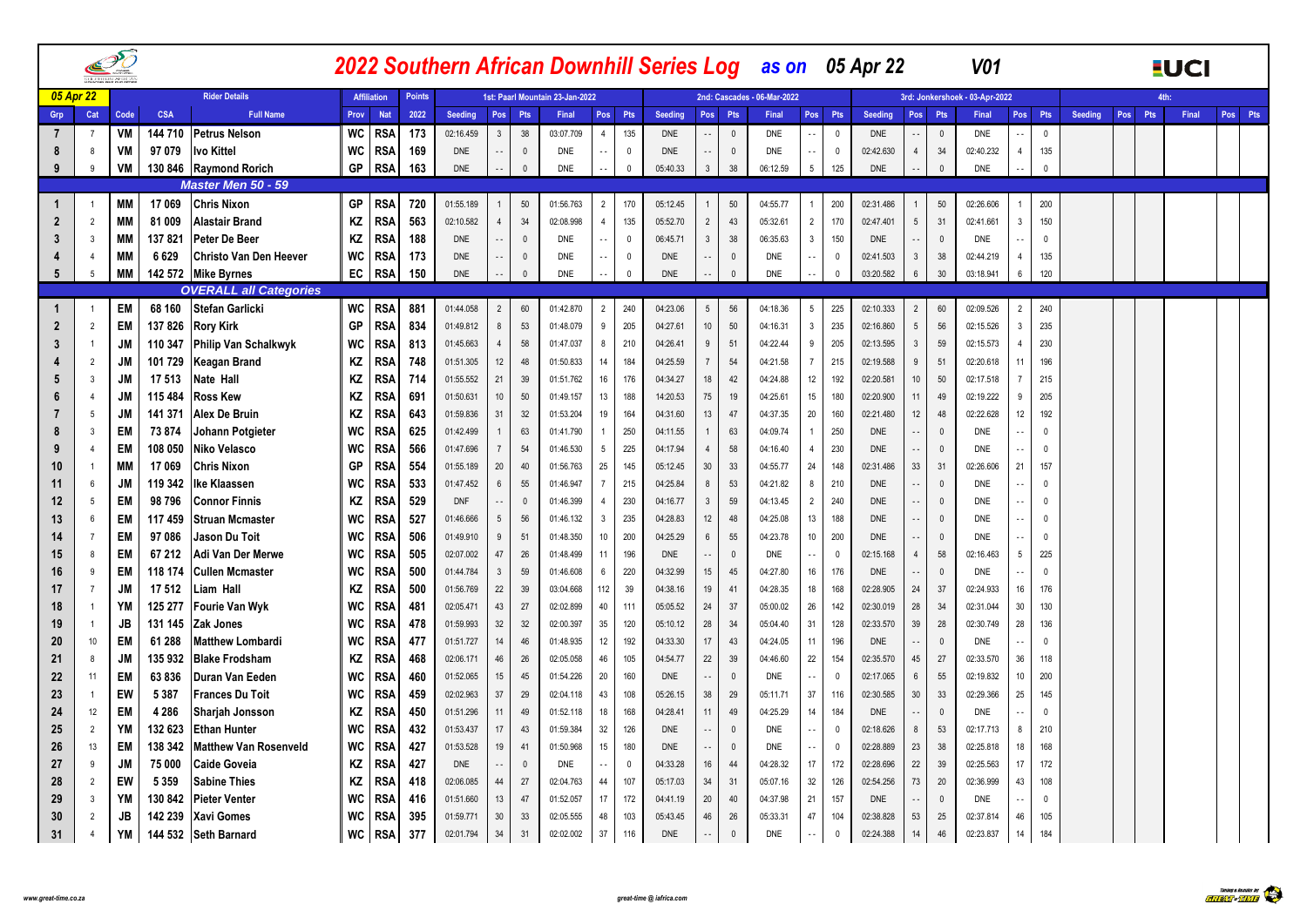|                |                | PÕ<br><b>COULD BERN AFFRICAN</b> |            |                               |           |                    |               |            |                          |                |                                 |                 |              |                |                            |              | 2022 Southern African Downhill Series Log as on 05 Apr 22 |                                   |            |                                           | V <sub>01</sub>                |                          |              |                |         |            | <b>EUCI</b> |         |
|----------------|----------------|----------------------------------|------------|-------------------------------|-----------|--------------------|---------------|------------|--------------------------|----------------|---------------------------------|-----------------|--------------|----------------|----------------------------|--------------|-----------------------------------------------------------|-----------------------------------|------------|-------------------------------------------|--------------------------------|--------------------------|--------------|----------------|---------|------------|-------------|---------|
|                | 05 Apr 22      |                                  |            | <b>Rider Details</b>          |           | <b>Affiliation</b> | <b>Points</b> |            |                          |                | 1st: Paarl Mountain 23-Jan-2022 |                 |              |                |                            |              | 2nd: Cascades - 06-Mar-2022                               |                                   |            |                                           | 3rd: Jonkershoek - 03-Apr-2022 |                          |              |                |         | <b>Ath</b> |             |         |
| Grp            | Cat            | Code                             | <b>CSA</b> | <b>Full Name</b>              | Prov      | <b>Nat</b>         | 2022          | Seeding    | Pos                      | <b>Pts</b>     | Final                           | Pos             | Pts          | <b>Seeding</b> | Pos Pts                    |              | Final                                                     | Pos Pts                           | Seeding    | Pos<br>Pts                                | Final                          | Pos                      | Pts          | <b>Seeding</b> | Pos Pts |            | Final       | Pos Pts |
| 7              | -7             | VM                               | 144 710    | <b>Petrus Nelson</b>          | WC        | <b>RSA</b>         | 173           | 02:16.459  | $\mathbf{3}$             | 38             | 03:07.709                       | $\overline{4}$  | 135          | <b>DNE</b>     |                            | $\mathbf 0$  | <b>DNE</b>                                                | $\overline{0}$<br>$\sim$ $\sim$   | <b>DNE</b> | $\mathbf{0}$                              | <b>DNE</b>                     |                          | $\mathbf 0$  |                |         |            |             |         |
| 8              | 8              | VM                               | 97 079     | Ivo Kittel                    | WC        | RSA                | 169           | <b>DNE</b> | $\overline{\phantom{a}}$ | $\overline{0}$ | <b>DNE</b>                      |                 | $\mathbf{0}$ | <b>DNE</b>     |                            | $\mathbf{0}$ | <b>DNE</b>                                                | $\overline{0}$<br>$\sim$ $\sim$   | 02:42.630  | 34<br>$\overline{4}$                      | 02:40.232                      | $\overline{4}$           | 135          |                |         |            |             |         |
| 9              | 9              | VM                               |            | 130 846 Raymond Rorich        | GP        | <b>RSA</b>         | 163           | DNE        | $\overline{\phantom{a}}$ | $\mathbf 0$    | <b>DNE</b>                      | $\sim$          | $\mathbf{0}$ | 05:40.33       | $\mathbf{3}$               | 38           | 06:12.59                                                  | $5\phantom{.0}$<br>125            | <b>DNE</b> | $\mathbb O$<br>                           | DNE                            | $\sim$ $\sim$            | $\mathbf{0}$ |                |         |            |             |         |
|                |                |                                  |            | <b>Master Men 50 - 59</b>     |           |                    |               |            |                          |                |                                 |                 |              |                |                            |              |                                                           |                                   |            |                                           |                                |                          |              |                |         |            |             |         |
| -1             | $\overline{1}$ | MМ                               | 17 069     | <b>Chris Nixon</b>            | GP        | <b>RSA</b>         | 720           | 01:55.189  | 1                        | 50             | 01:56.763                       | $\overline{2}$  | 170          | 05:12.45       |                            | 50           | 04:55.77                                                  | 200<br>$\overline{1}$             | 02:31.486  | $50\,$<br>$\mathbf{1}$                    | 02:26.606                      |                          | 200          |                |         |            |             |         |
|                | $\overline{2}$ | <b>MM</b>                        | 81 009     | <b>Alastair Brand</b>         | ΚZ        | <b>RSA</b>         | 563           | 02:10.582  | $\overline{4}$           | 34             | 02:08.998                       | 4               | 135          | 05:52.70       | $\overline{2}$             | 43           | 05:32.61                                                  | $\overline{2}$<br>170             | 02:47.401  | 5 <sup>5</sup><br>31                      | 02:41.661                      | 3                        | 150          |                |         |            |             |         |
|                | $\overline{3}$ | <b>MM</b>                        | 137821     | Peter De Beer                 | ΚZ        | RSA                | 188           | <b>DNE</b> | $\sim$ $\sim$            | $\overline{0}$ | DNE                             | $\sim$ $\sim$   | $^{\circ}$   | 06:45.71       | $\mathbf{3}$               | 38           | 06:35.63                                                  | $\mathbf{3}$<br>150               | <b>DNE</b> | $^{\circ}$<br>$\sim$ $\sim$               | <b>DNE</b>                     | $\sim$ $\sim$            | $\Omega$     |                |         |            |             |         |
|                | $\overline{4}$ | <b>MM</b>                        | 6629       | <b>Christo Van Den Heever</b> | WC        | <b>RSA</b>         | 173           | <b>DNE</b> | $\sim$ $\sim$            | - 0            | <b>DNE</b>                      | $\sim$ $\sim$   | $\mathbf 0$  | <b>DNE</b>     | $\overline{\phantom{a}}$ . | $\mathbf{0}$ | DNE                                                       | $\sim$ $\sim$<br>- 0              | 02:41.503  | 38<br>$\mathbf{3}$                        | 02:44.219                      | $\overline{4}$           | 135          |                |         |            |             |         |
| 5              | -5             | <b>MM</b>                        |            | 142 572 Mike Byrnes           | EC        | <b>RSA</b>         | 150           | <b>DNE</b> | $\sim$ $\sim$            | $\mathbf 0$    | DNE                             |                 | $\Omega$     | <b>DNE</b>     | $\overline{\phantom{a}}$   | $\mathbb O$  | <b>DNE</b>                                                | $\overline{0}$<br>$\sim$ .        | 03:20.582  | $6\overline{6}$<br>30                     | 03:18.941                      | $6\phantom{.0}$          | 120          |                |         |            |             |         |
|                |                |                                  |            | <b>OVERALL all Categories</b> |           |                    |               |            |                          |                |                                 |                 |              |                |                            |              |                                                           |                                   |            |                                           |                                |                          |              |                |         |            |             |         |
| -1             |                | EM                               | 68 160     | <b>Stefan Garlicki</b>        | WC        | <b>RSA</b>         | 881           | 01:44.058  | $\overline{2}$           | 60             | 01:42.870                       | $\overline{2}$  | 240          | 04:23.06       | $5\overline{)}$            | 56           | 04:18.36                                                  | 5<br>225                          | 02:10.333  | $\overline{2}$<br>60                      | 02:09.526                      | $\overline{2}$           | 240          |                |         |            |             |         |
| $\overline{2}$ | $\overline{2}$ | <b>EM</b>                        | 137826     | <b>Rory Kirk</b>              | GP        | <b>RSA</b>         | 834           | 01:49.812  | 8                        | 53             | 01:48.079                       | 9               | 205          | 04:27.61       | 10 <sup>1</sup>            | 50           | 04:16.31                                                  | 235<br>$\mathbf{3}$               | 02:16.860  | 5<br>56                                   | 02:15.526                      | $\mathbf{3}$             | 235          |                |         |            |             |         |
|                | $\overline{1}$ | JМ                               | 110 347    | Philip Van Schalkwyk          | WC        | <b>RSA</b>         | 813           | 01:45.663  | $\overline{4}$           | 58             | 01:47.037                       | 8               | 210          | 04:26.41       | 9                          | 51           | 04:22.44                                                  | 9<br>205                          | 02:13.595  | $\mathbf{3}$<br>59                        | 02:15.573                      | $\overline{4}$           | 230          |                |         |            |             |         |
|                | $\overline{2}$ | <b>JM</b>                        | 101 729    | <b>Keagan Brand</b>           | ΚZ        | RSA                | 748           | 01:51.305  | 12                       | 48             | 01:50.833                       | 14              | 184          | 04:25.59       | $\overline{7}$             | 54           | 04:21.58                                                  | $\overline{7}$<br>215             | 02:19.588  | 9<br>51                                   | 02:20.618                      | 11                       | 196          |                |         |            |             |         |
|                | 3              | JM                               | 17 513     | Nate Hall                     | ΚZ        | RSA                | 714           | 01:55.552  | 21                       | 39             | 01:51.762                       | 16              | 176          | 04:34.27       | 18                         | 42           | 04:24.88                                                  | 12<br>192                         | 02:20.581  | 10<br>50                                  | 02:17.518                      | $\overline{7}$           | 215          |                |         |            |             |         |
|                | $\overline{4}$ | JM                               | 115 484    | <b>Ross Kew</b>               | ΚZ        | RSA                | 691           | 01:50.631  | 10                       | 50             | 01:49.157                       | 13              | 188          | 14:20.53       | 75                         | 19           | 04:25.61                                                  | 15<br>180                         | 02:20.900  | 11<br>49                                  | 02:19.222                      | 9                        | 205          |                |         |            |             |         |
|                | 5              | JМ                               | 141 371    | Alex De Bruin                 | ΚZ        | <b>RSA</b>         | 643           | 01:59.836  | 31                       | 32             | 01:53.204                       | 19              | 164          | 04:31.60       | 13                         | 47           | 04:37.35                                                  | 20<br>160                         | 02:21.480  | 12<br>48                                  | 02:22.628                      | 12                       | 192          |                |         |            |             |         |
|                | 3              | <b>EM</b>                        | 73 874     | Johann Potgieter              | WC        | RSA                | 625           | 01:42.499  | $\mathbf{1}$             | 63             | 01:41.790                       | $\mathbf{1}$    | 250          | 04:11.55       | $\mathbf{1}$               | 63           | 04:09.74                                                  | $\overline{1}$<br>250             | DNE        | $\mathbf 0$<br>$\overline{\phantom{a}}$ . | DNE                            | ٠.                       | $\mathbf{0}$ |                |         |            |             |         |
|                | $\overline{4}$ | EM                               | 108 050    | Niko Velasco                  | <b>WC</b> | <b>RSA</b>         | 566           | 01:47.696  | $\overline{7}$           | 54             | 01:46.530                       | $5\phantom{.0}$ | 225          | 04:17.94       | $\overline{4}$             | 58           | 04:16.40                                                  | $\overline{4}$<br>230             | <b>DNE</b> | $\mathbb O$<br>$\sim$ $-$                 | <b>DNE</b>                     | $\sim$ $-$               | $\mathbf{0}$ |                |         |            |             |         |
|                | $\overline{1}$ | МM                               | 17 069     | <b>Chris Nixon</b>            | GP        | RSA                | 554           | 01:55.189  | $20\,$                   | 40             | 01:56.763                       | 25              | 145          | 05:12.45       | 30                         | 33           | 04:55.77                                                  | 24<br>148                         | 02:31.486  | 33<br>31                                  | 02:26.606                      | 21                       | 157          |                |         |            |             |         |
|                | 6              | JМ                               | 119 342    | lke Klaassen                  | WC        | RSA                | 533           | 01:47.452  | $6\,$                    | 55             | 01:46.947                       | $\overline{7}$  | 215          | 04:25.84       | 8                          | 53           | 04:21.82                                                  | 8<br>210                          | DNE        | $\mathbf 0$<br>$\overline{a}$             | DNE                            | $\sim$                   | $\mathbf{0}$ |                |         |            |             |         |
| 12             | -5             | EM                               | 98796      | <b>Connor Finnis</b>          | ΚZ        | RSA                | 529           | <b>DNF</b> | $\sim$ $-$               | $\mathbf{0}$   | 01:46.399                       | $\overline{4}$  | 230          | 04:16.77       | $\mathbf{3}$               | 59           | 04:13.45                                                  | $\overline{2}$<br>240             | <b>DNE</b> | $\mathbf 0$<br>$\overline{\phantom{a}}$ . | <b>DNE</b>                     | $\overline{\phantom{a}}$ | $\mathbf{0}$ |                |         |            |             |         |
| 13             | 6              | EM                               | 117 459    | <b>Struan Mcmaster</b>        | WC        | RSA                | 527           | 01:46.666  | $5\phantom{.0}$          | 56             | 01:46.132                       | 3               | 235          | 04:28.83       | 12                         | 48           | 04:25.08                                                  | 13<br>188                         | <b>DNE</b> | $\mathbf 0$<br>$\sim$                     | <b>DNE</b>                     | $\overline{\phantom{a}}$ | 0            |                |         |            |             |         |
|                | $\overline{7}$ | EM                               | 97 086     | Jason Du Toit                 | WC        | RSA                | 506           | 01:49.910  | 9                        | 51             | 01:48.350                       | 10              | 200          | 04:25.29       | 6                          | 55           | 04:23.78                                                  | 10<br>200                         | <b>DNE</b> | $\mathbf 0$<br>$\overline{\phantom{a}}$ . | DNE                            | $\sim$                   | $\mathbf{0}$ |                |         |            |             |         |
| 15             | 8              | EM                               | 67 212     | Adi Van Der Merwe             | WC        | RSA                | 505           | 02:07.002  | $47\,$                   | 26             | 01:48.499                       | 11              | 196          | DNE            | $\overline{\phantom{a}}$   | $\mathbf 0$  | DNE                                                       | 0<br>$\sim$                       | 02:15.168  | 58<br>$\overline{4}$                      | 02:16.463                      | $5\overline{)}$          | 225          |                |         |            |             |         |
| 16             | 9              | EM                               | 118 174    | <b>Cullen Mcmaster</b>        | WC        | RSA                | 500           | 01:44.784  | $\mathbf{3}$             | 59             | 01:46.608                       | $6\phantom{.0}$ | 220          | 04:32.99       | 15                         | 45           | 04:27.80                                                  | 16<br>176                         | <b>DNF</b> | $\mathbf 0$<br>$\sim$ $\sim$              | <b>DNE</b>                     | $\sim$ $\sim$            | $\Omega$     |                |         |            |             |         |
|                | $\overline{7}$ | JM                               | 17 512     | Liam Hall                     | ΚZ        | RSA                | 500           | 01:56.769  | 22                       | 39             | 03:04.668                       | 112             | 39           | 04:38.16       | 19                         | 41           | 04:28.35                                                  | 18<br>168                         | 02:28.905  | 37<br>24                                  | 02:24.933                      | 16                       | 176          |                |         |            |             |         |
| 18             | $\overline{1}$ | ΥM                               | 125 277    | <b>Fourie Van Wyk</b>         | <b>WC</b> | RSA                | 481           | 02:05.471  | 43                       | 27             | 02:02.899                       | 40              | 111          | 05:05.52       | 24                         | 37           | 05:00.02                                                  | 26<br>142                         | 02:30.019  | 28<br>34                                  | 02:31.044                      | 30                       | 130          |                |         |            |             |         |
|                | $\overline{1}$ | JB                               | 131 145    | Zak Jones                     | <b>WC</b> | RSA                | 478           | 01:59.993  | 32                       | 32             | 02:00.397                       | 35              | 120          | 05:10.12       | 28                         | 34           | 05:04.40                                                  | 31<br>128                         | 02:33.570  | 39<br>28                                  | 02:30.749                      | 28                       | 136          |                |         |            |             |         |
| 20             | 10             | EM                               | 61 288     | <b>Matthew Lombardi</b>       | <b>WC</b> | <b>RSA</b>         | 477           | 01:51.727  | 14                       | 46             | 01:48.935                       | 12              | 192          | 04:33.30       | 17                         | 43           | 04:24.05                                                  | 11<br>196                         | <b>DNE</b> | $\mathbb O$<br>$\sim$ $\sim$              | <b>DNE</b>                     | $\sim$ $\sim$            | $\Omega$     |                |         |            |             |         |
| 21             | 8              | <b>JM</b>                        | 135 932    | <b>Blake Frodsham</b>         | ΚZ        | RSA                | 468           | 02:06.171  | 46                       | 26             | 02:05.058                       | 46              | 105          | 04:54.77       | 22                         | 39           | 04:46.60                                                  | 22<br>154                         | 02:35.570  | 45<br>27                                  | 02:33.570                      | 36                       | 118          |                |         |            |             |         |
| 22             | 11             | EM                               | 63836      | Duran Van Eeden               | <b>WC</b> | RSA                | 460           | 01:52.065  | 15                       | 45             | 01:54.226                       | 20              | 160          | <b>DNE</b>     | $\overline{\phantom{a}}$   | $\mathbf{0}$ | <b>DNE</b>                                                | $\mathbf 0$<br>$\sim$ $\sim$      | 02:17.065  | $6\overline{6}$<br>55                     | 02:19.832                      | 10                       | 200          |                |         |            |             |         |
| 23             | $\overline{1}$ | EW                               | 5 3 8 7    | <b>Frances Du Toit</b>        | <b>WC</b> | RSA                | 459           | 02:02.963  | 37                       | 29             | 02:04.118                       | 43              | 108          | 05:26.15       | 38                         | 29           | 05:11.71                                                  | 37<br>116                         | 02:30.585  | 30<br>33                                  | 02:29.366                      | 25                       | 145          |                |         |            |             |         |
| 24             | 12             | EM                               | 4 2 8 6    | Sharjah Jonsson               | ΚZ        | RSA                | 450           | 01:51.296  | 11                       | 49             | 01:52.118                       | 18              | 168          | 04:28.41       | 11                         | 49           | 04:25.29                                                  | 14<br>184                         | <b>DNE</b> | $\mathbf 0$<br>$\sim$ $\sim$              | <b>DNE</b>                     | $\sim$ $\sim$            | $\mathbf{0}$ |                |         |            |             |         |
| 25             | $\overline{2}$ | <b>YM</b>                        | 132 623    | <b>Ethan Hunter</b>           | WC        | RSA                | 432           | 01:53.437  | 17                       | 43             | 01:59.384                       | 32              | 126          | <b>DNE</b>     |                            | $\mathbf 0$  | <b>DNE</b>                                                | $\sim$<br>0                       | 02:18.626  | 8<br>53                                   | 02:17.713                      | 8                        | 210          |                |         |            |             |         |
| 26             | 13             | <b>EM</b>                        | 138 342    | <b>Matthew Van Rosenveld</b>  | <b>WC</b> | <b>RSA</b>         | 427           | 01:53.528  | 19                       | 41             | 01:50.968                       | 15              | 180          | <b>DNE</b>     | $\overline{\phantom{a}}$   | $\mathbb O$  | DNE                                                       | $\overline{\mathbf{0}}$<br>$\sim$ | 02:28.889  | 23<br>38                                  | 02:25.818                      | 18                       | 168          |                |         |            |             |         |
| 27             | 9              | JM                               | 75 000     | <b>Caide Goveia</b>           | ΚZ        | RSA                | 427           | <b>DNE</b> | $\sim$ $\sim$            | $\overline{0}$ | DNE                             | $\sim$ $\sim$   | $^{\circ}$   | 04:33.28       | 16                         | 44           | 04:28.32                                                  | 17<br>172                         | 02:28.696  | $22\,$<br>39                              | 02:25.563                      | 17                       | 172          |                |         |            |             |         |
| 28             | $\overline{2}$ | EW                               | 5 3 5 9    | <b>Sabine Thies</b>           | ΚZ        | RSA                | 418           | 02:06.085  | 44                       | 27             | 02:04.763                       | 44              | 107          | 05:17.03       | 34                         | 31           | 05:07.16                                                  | 32<br>126                         | 02:54.256  | 73<br>20                                  | 02:36.999                      | 43                       | 108          |                |         |            |             |         |
| 29             | 3              | YM                               | 130 842    | <b>Pieter Venter</b>          | <b>WC</b> | RSA                | 416           | 01:51.660  | 13                       | 47             | 01:52.057                       | 17              | 172          | 04:41.19       | 20                         | 40           | 04:37.98                                                  | 21<br>157                         | <b>DNE</b> | $\mathbf 0$<br>$\sim$ $\sim$              | DNE                            |                          | $\Omega$     |                |         |            |             |         |
| 30             | $\overline{2}$ | JB                               | 142 239    | <b>Xavi Gomes</b>             | WC        | RSA                | 395           | 01:59.771  | 30                       | 33             | 02:05.555                       | 48              | 103          | 05:43.45       | 46                         | 26           | 05:33.31                                                  | 47<br>104                         | 02:38.828  | 53<br>25                                  | 02:37.814                      | 46                       | 105          |                |         |            |             |         |
| 31             | $\overline{4}$ | <b>YM</b>                        | 144 532    | Seth Barnard                  | WC        | <b>RSA</b>         | 377           | 02:01.794  | 34                       | 31             | 02:02.002                       | 37              | 116          | <b>DNE</b>     | $\sim$ $-$                 | $\mathbb O$  | <b>DNE</b>                                                | $\overline{0}$<br>$\sim$ $\sim$   | 02:24.388  | 14<br>46                                  | 02:23.837                      | 14                       | 184          |                |         |            |             |         |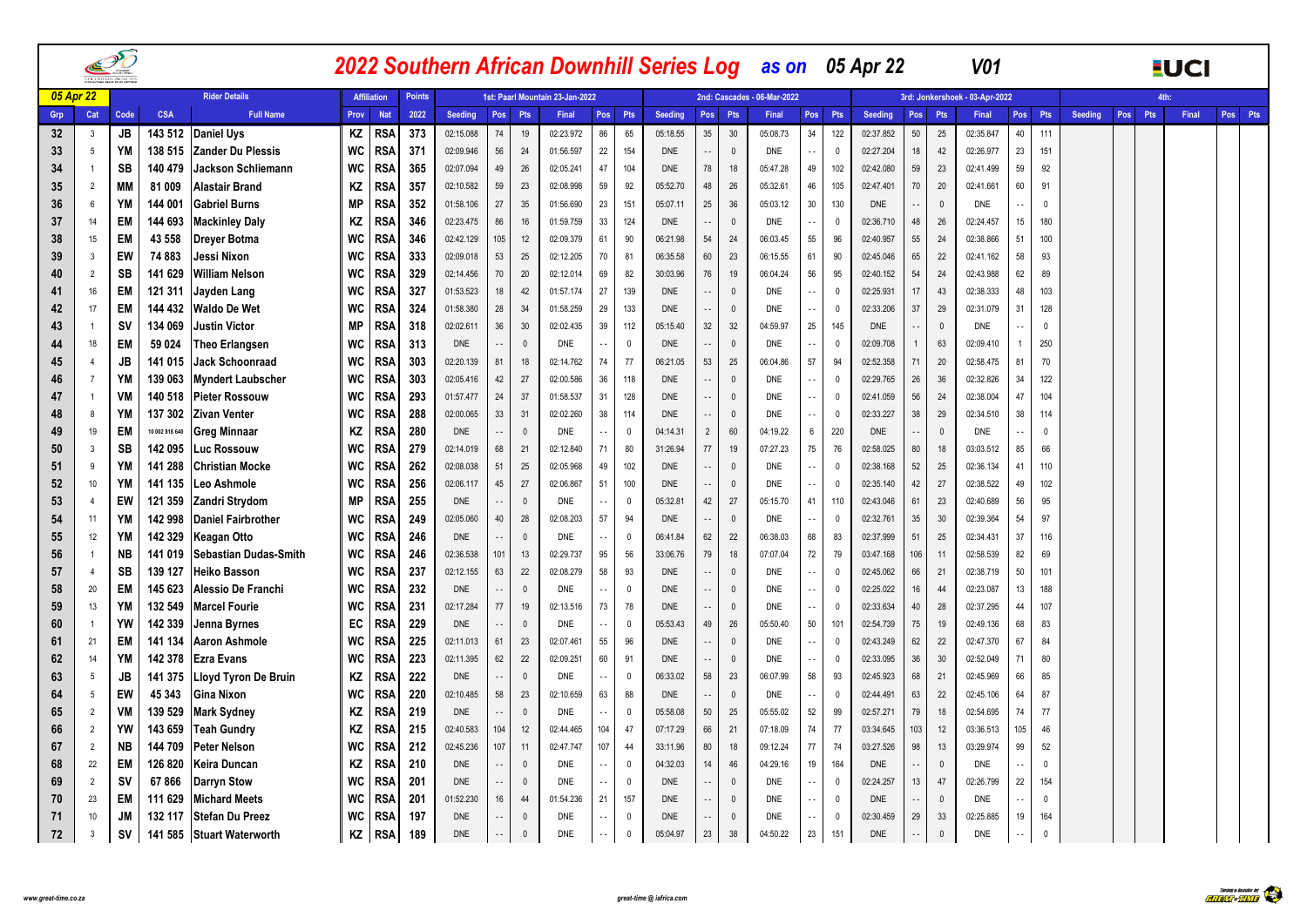|     |                  | PÕ        |                |                             |           |                    |               |                |                     |              |                                 |                          |              |            |                            |                         | 2022 Southern African Downhill Series Log as on 05 Apr 22 |               |              |                |                          |              | V <sub>01</sub>                |                      |              |                       |     | <b>EUCI</b> |         |
|-----|------------------|-----------|----------------|-----------------------------|-----------|--------------------|---------------|----------------|---------------------|--------------|---------------------------------|--------------------------|--------------|------------|----------------------------|-------------------------|-----------------------------------------------------------|---------------|--------------|----------------|--------------------------|--------------|--------------------------------|----------------------|--------------|-----------------------|-----|-------------|---------|
|     | <b>05 Apr 22</b> |           |                | <b>Rider Details</b>        |           | <b>Affiliation</b> | <b>Points</b> |                |                     |              | 1st: Paarl Mountain 23-Jan-2022 |                          |              |            |                            |                         | 2nd: Cascades - 06-Mar-2022                               |               |              |                |                          |              | 3rd: Jonkershoek - 03-Apr-2022 |                      |              |                       |     | 4th:        |         |
| Grp | Cat              | Code      | <b>CSA</b>     | <b>Full Name</b>            | Prov      | <b>Nat</b>         | 2022          | <b>Seeding</b> | Pos                 | Pts          | Final                           | Pos                      | Pts          | Seeding    | Pos                        | <b>Pts</b>              | Final                                                     | Pos           | Pts          | <b>Seeding</b> | Pos                      | Pts          | Final                          | Pos Pts              |              | <b>Seeding</b><br>Pos | Pts | Final       | Pos Pts |
| 32  | $\overline{3}$   | JB        | 143 512        | <b>Daniel Uys</b>           | ΚZ        | <b>RSA</b>         | 373           | 02:15.088      | 74                  | 19           | 02:23.972                       | 86                       | 65           | 05:18.55   | 35 <sup>5</sup>            | 30                      | 05:08.73                                                  | 34            | 122          | 02:37.852      | 50                       | 25           | 02:35.847                      | 40                   | 111          |                       |     |             |         |
| 33  | 5                | YM        | 138 515        | <b>Zander Du Plessis</b>    | WC        | <b>RSA</b>         | 371           | 02:09.946      | 56                  | 24           | 01:56.597                       | 22                       | 154          | <b>DNE</b> | $\sim$ $\sim$              | $\mathbf 0$             | <b>DNE</b>                                                | $\sim$ $-$    | 0            | 02:27.204      | 18                       | 42           | 02:26.977                      | 23                   | 151          |                       |     |             |         |
| 34  | -1               | SB        | 140 479        | <b>Jackson Schliemann</b>   | WC        | <b>RSA</b>         | 365           | 02:07.094      | 49                  | 26           | 02:05.241                       | 47                       | 104          | <b>DNE</b> | 78                         | 18                      | 05:47.28                                                  | 49            | 102          | 02:42.080      | 59                       | 23           | 02:41.499                      | 59                   | 92           |                       |     |             |         |
| 35  | $\overline{2}$   | МM        | 81 009         | <b>Alastair Brand</b>       | KZ        | RSA                | 357           | 02:10.582      | 59                  | 23           | 02:08.998                       | 59                       | 92           | 05:52.70   | 48                         | 26                      | 05:32.61                                                  | 46            | 105          | 02:47.401      | 70                       | 20           | 02:41.661                      | 60                   | 91           |                       |     |             |         |
| 36  | 6                | YM        | 144 001        | <b>Gabriel Burns</b>        | <b>MP</b> | <b>RSA</b>         | 352           | 01:58.106      | 27                  | 35           | 01:56.690                       | 23                       | 151          | 05:07.11   | 25                         | 36                      | 05:03.12                                                  | 30            | 130          | <b>DNE</b>     | $\overline{\phantom{a}}$ | $\mathbf{0}$ | DNE                            | $\sim$ $\sim$        | $\mathbf{0}$ |                       |     |             |         |
| 37  | 14               | EM        | 144 693        | <b>Mackinley Daly</b>       | KZ        | <b>RSA</b>         | 346           | 02:23.475      | 86                  | 16           | 01:59.759                       | 33                       | 124          | <b>DNE</b> | $\sim$ $\sim$              | $\overline{0}$          | DNE                                                       | $\sim$ $-$    | 0            | 02:36.710      | 48                       | 26           | 02:24.457                      | 15                   | 180          |                       |     |             |         |
| 38  | 15               | EM        | 43 558         | Dreyer Botma                | WC        | RSA                | 346           | 02:42.129      | 105                 | 12           | 02:09.379                       | 61                       | 90           | 06:21.98   | 54                         | 24                      | 06:03.45                                                  | 55            | 96           | 02:40.957      | 55                       | 24           | 02:38.866                      | 51                   | 100          |                       |     |             |         |
| 39  | $\overline{3}$   | EW        | 74 883         | Jessi Nixon                 | WC        | <b>RSA</b>         | 333           | 02:09.018      | 53                  | 25           | 02:12.205                       | 70                       | 81           | 06:35.58   | 60                         | 23                      | 06:15.55                                                  | 61            | 90           | 02:45.046      | 65                       | 22           | 02:41.162                      | 58                   | 93           |                       |     |             |         |
| 40  | $\overline{2}$   | SB        | 141 629        | <b>William Nelson</b>       | WC        | RSA                | 329           | 02:14.456      | 70                  | 20           | 02:12.014                       | 69                       | 82           | 30:03.96   | 76                         | 19                      | 06:04.24                                                  | 56            | 95           | 02:40.152      | 54                       | 24           | 02:43.988                      | 62                   | 89           |                       |     |             |         |
| 41  | 16               | EM        | 121 311        | Jayden Lang                 | WC        | <b>RSA</b>         | 327           | 01:53.523      | 18                  | 42           | 01:57.174                       | 27                       | 139          | <b>DNE</b> |                            | $\overline{0}$          | <b>DNE</b>                                                | $\sim$ $\sim$ | 0            | 02:25.931      | 17                       | 43           | 02:38.333                      | 48                   | 103          |                       |     |             |         |
| 42  | 17               | EM        | 144 432        | <b>Waldo De Wet</b>         | WC        | <b>RSA</b>         | 324           | 01:58.380      | 28                  | 34           | 01:58.259                       | 29                       | 133          | DNE        | $\overline{\phantom{a}}$   | $\overline{0}$          | <b>DNE</b>                                                | $\sim$ $\sim$ | $\mathbf{0}$ | 02:33.206      | 37                       | 29           | 02:31.079                      | 31                   | 128          |                       |     |             |         |
| 43  |                  | <b>SV</b> | 134 069        | <b>Justin Victor</b>        | <b>MP</b> | RSA                | 318           | 02:02.611      | 36                  | 30           | 02:02.435                       | 39                       | 112          | 05:15.40   | 32                         | 32                      | 04:59.97                                                  | 25            | 145          | <b>DNE</b>     | $\ddot{\phantom{1}}$     | $\mathbf{0}$ | <b>DNE</b>                     |                      | $\mathbf{0}$ |                       |     |             |         |
| 44  | 18               | EM        | 59 0 24        | <b>Theo Erlangsen</b>       | WC        | <b>RSA</b>         | 313           | <b>DNE</b>     | $\sim$ $\sim$       | $\mathbf{0}$ | <b>DNE</b>                      | $\overline{\phantom{a}}$ | $\mathbf{0}$ | <b>DNE</b> | $\overline{\phantom{a}}$   | $\overline{0}$          | <b>DNE</b>                                                | $\sim$ $\sim$ | $\mathbf{0}$ | 02:09.708      | $\overline{1}$           | 63           | 02:09.410                      |                      | 250          |                       |     |             |         |
| 45  | $\overline{4}$   | JB        | 141 015        | <b>Jack Schoonraad</b>      | <b>WC</b> | RSA                | 303           | 02:20.139      | 81                  | 18           | 02:14.762                       | 74                       | 77           | 06:21.05   | 53                         | 25                      | 06:04.86                                                  | 57            | 94           | 02:52.358      | 71                       | 20           | 02:58.475                      | 81                   | 70           |                       |     |             |         |
| 46  | $\overline{7}$   | YM        | 139 063        | <b>Myndert Laubscher</b>    | WC        | <b>RSA</b>         | 303           | 02:05.416      | 42                  | 27           | 02:00.586                       | 36                       | 118          | <b>DNE</b> | $\sim$                     | $\overline{0}$          | <b>DNE</b>                                                | $\sim$ $\sim$ | - 0          | 02:29.765      | 26                       | 36           | 02:32.826                      | 34                   | 122          |                       |     |             |         |
| 47  | - 1              | VM        | 140 518        | <b>Pieter Rossouw</b>       | <b>WC</b> | RSA                | 293           | 01:57.477      | 24                  | 37           | 01:58.537                       | 31                       | 128          | <b>DNE</b> | $\sim$ $\sim$              | $\mathbf 0$             | DNE                                                       | $\sim$ $\sim$ | 0            | 02:41.059      | 56                       | 24           | 02:38.004                      | 47                   | 104          |                       |     |             |         |
| 48  | 8                | YM        | 137 302        | <b>Zivan Venter</b>         | WC        | <b>RSA</b>         | 288           | 02:00.065      | 33                  | 31           | 02:02.260                       | 38                       | 114          | <b>DNE</b> | $\sim$                     | $\Omega$                | DNE                                                       | $\sim$ $-$    | $\Omega$     | 02:33.227      | 38                       | 29           | 02:34.510                      | 38                   | 114          |                       |     |             |         |
| 49  | 19               | EM        | 10 002 818 640 | <b>Greg Minnaar</b>         | ΚZ        | RSA                | 280           | <b>DNE</b>     | $\sim$ $\sim$       | $\mathbf 0$  | DNE                             | $\sim$                   | $\Omega$     | 04:14.31   | $\overline{2}$             | 60                      | 04:19.22                                                  | 6             | 220          | <b>DNE</b>     | $\sim$ $\sim$            | $\Omega$     | DNE                            | $\ddot{\phantom{a}}$ | $\mathbf 0$  |                       |     |             |         |
| 50  | - 3              | SB        | 142 095        | Luc Rossouw                 | WC        | <b>RSA</b>         | 279           | 02:14.019      | 68                  | 21           | 02:12.840                       | 71                       | 80           | 31:26.94   | $77\,$                     | 19                      | 07:27.23                                                  | 75            | 76           | 02:58.025      | 80                       | 18           | 03:03.512                      | 85                   | 66           |                       |     |             |         |
| 51  | 9                | YM        | 141 288        | <b>Christian Mocke</b>      | WC        | RSA                | 262           | 02:08.038      | 51                  | 25           | 02:05.968                       | 49                       | 102          | <b>DNE</b> | $\sim$ $\sim$              | $\overline{0}$          | <b>DNE</b>                                                | $\sim$ $\sim$ | $^{\circ}$   | 02:38.168      | 52                       | 25           | 02:36.134                      | 41                   | 110          |                       |     |             |         |
| 52  | 10               | YM        | 141 135        | Leo Ashmole                 | WC        | <b>RSA</b>         | 256           | 02:06.117      | 45                  | 27           | 02:06.867                       | 51                       | 100          | <b>DNE</b> | $\overline{a}$             | $\mathbf{0}$            | <b>DNE</b>                                                | $\sim$ $\sim$ | $\Omega$     | 02:35.140      | 42                       | 27           | 02:38.522                      | 49                   | 102          |                       |     |             |         |
| 53  | $\overline{4}$   | EW        | 121 359        | Zandri Strydom              | <b>MP</b> | <b>RSA</b>         | 255           | DNE            | $\sim$ $\sim$       | $\Omega$     | DNE                             | $\ddotsc$                | $\mathbf{0}$ | 05:32.81   | 42                         | 27                      | 05:15.70                                                  | 41            | 110          | 02:43.046      | 61                       | 23           | 02:40.689                      | 56                   | 95           |                       |     |             |         |
| 54  | 11               | YM        | 142 998        | <b>Daniel Fairbrother</b>   | WC        | RSA                | 249           | 02:05.060      | 40                  | 28           | 02:08.203                       | 57                       | 94           | <b>DNE</b> |                            | $\mathbf{0}$            | <b>DNE</b>                                                | $\sim$ $\sim$ | $\Omega$     | 02:32.761      | 35                       | 30           | 02:39.364                      | 54                   | 97           |                       |     |             |         |
| 55  | 12               | <b>YM</b> | 142 329        | Keagan Otto                 | WC        | <b>RSA</b>         | 246           | <b>DNE</b>     | $\sim$ $\sim$       | $\Omega$     | <b>DNE</b>                      | $\sim$ $\sim$            | $\mathbf{0}$ | 06:41.84   | 62                         | 22                      | 06:38.03                                                  | 68            | 83           | 02:37.999      | 51                       | 25           | 02:34.431                      | 37                   | 116          |                       |     |             |         |
| 56  |                  | <b>NB</b> | 141 019        | Sebastian Dudas-Smith       | WC        | RSA                | 246           | 02:36.538      | 101                 | 13           | 02:29.737                       | 95                       | 56           | 33:06.76   | 79                         | 18                      | 07:07.04                                                  | 72            | 79           | 03:47.168      | 106                      | 11           | 02:58.539                      | 82                   | 69           |                       |     |             |         |
| 57  | $\overline{4}$   | <b>SB</b> | 139 127        | <b>Heiko Basson</b>         | WC        | <b>RSA</b>         | 237           | 02:12.155      | 63                  | 22           | 02:08.279                       | 58                       | 93           | <b>DNE</b> | $\overline{\phantom{a}}$   | $\overline{\mathbf{0}}$ | DNE                                                       | $\sim$ $\sim$ | - 0          | 02:45.062      | 66                       | 21           | 02:38.719                      | 50                   | 101          |                       |     |             |         |
| 58  | 20               | EM        | 145 623        | Alessio De Franchi          | WC        | <b>RSA</b>         | 232           | <b>DNE</b>     | $\sim$ $\sim$       | $\Omega$     | <b>DNE</b>                      | $\ddotsc$                | $\mathbf{0}$ | <b>DNE</b> | $\overline{\phantom{a}}$ . | $\mathbf{0}$            | <b>DNE</b>                                                | $\sim$ $\sim$ | $\Omega$     | 02:25.022      | 16                       | 44           | 02:23.087                      | 13                   | 188          |                       |     |             |         |
| 59  | 13               | YM        | 132 549        | <b>Marcel Fourie</b>        | WC        | <b>RSA</b>         | 231           | 02:17.284      | 77                  | 19           | 02:13.516                       | 73                       | 78           | <b>DNE</b> | $\sim$ $\sim$              | $\overline{0}$          | <b>DNE</b>                                                | $\sim$ $\sim$ | - 0          | 02:33.634      | 40                       | 28           | 02:37.295                      | 44                   | 107          |                       |     |             |         |
| 60  | $\overline{1}$   | <b>YW</b> | 142 339        | Jenna Byrnes                | EC        | RSA                | 229           | <b>DNE</b>     | $\sim$ $\sim$       | $\Omega$     | <b>DNE</b>                      | $\sim$ $\sim$            | $\Omega$     | 05:53.43   | 49                         | 26                      | 05:50.40                                                  | 50            | 101          | 02:54.739      | 75                       | 19           | 02:49.136                      | 68                   | 83           |                       |     |             |         |
| 61  | 21               | <b>EM</b> | 141 134        | <b>Aaron Ashmole</b>        | WC        | <b>RSA</b>         | 225           | 02:11.013      | 61                  | 23           | 02:07.461                       | 55                       | 96           | <b>DNE</b> | $\overline{\phantom{a}}$   | $\mathbf 0$             | <b>DNE</b>                                                | $\sim$ $\sim$ | 0            | 02:43.249      | 62                       | 22           | 02:47.370                      | 67                   | 84           |                       |     |             |         |
| 62  | 14               | YM        | 142 378        | <b>Ezra Evans</b>           | <b>WC</b> | RSA                | 223           | 02:11.395      | 62                  | 22           | 02:09.251                       | 60                       | 91           | <b>DNE</b> | $\sim$ $\sim$              | $\overline{0}$          | <b>DNE</b>                                                | $\sim$ .      | $\Omega$     | 02:33.095      | 36                       | 30           | 02:52.049                      | 71                   | 80           |                       |     |             |         |
| 63  | 5                | <b>JB</b> | 141 375        | <b>Lloyd Tyron De Bruin</b> | ΚZ        | <b>RSA</b>         | 222           | <b>DNE</b>     | $\sim$ $\sim$       | $\mathbf{0}$ | <b>DNE</b>                      | $\ddotsc$                | $\Omega$     | 06:33.02   | 58                         | 23                      | 06:07.99                                                  | 58            | 93           | 02:45.923      | 68                       | 21           | 02:45.969                      | 66                   | 85           |                       |     |             |         |
| 64  | 5                | EW        | 45 343         | Gina Nixon                  | WC        | <b>RSA</b>         | 220           | 02:10.485      | 58                  | 23           | 02:10.659                       | 63                       | 88           | <b>DNE</b> |                            | $\overline{0}$          | <b>DNE</b>                                                | $\sim$ $\sim$ | 0            | 02:44.491      | 63                       | 22           | 02:45.106                      | 64                   | 87           |                       |     |             |         |
| 65  | $\overline{2}$   | VM        | 139 529        | <b>Mark Sydney</b>          | KZ        | RSA                | 219           | <b>DNE</b>     | Ц,                  | $\mathbf{0}$ | DNE                             | ٠.                       | $\Omega$     | 05:58.08   | 50                         | 25                      | 05:55.02                                                  | 52            | 99           | 02:57.271      | 79                       | 18           | 02:54.695                      | 74                   | 77           |                       |     |             |         |
| 66  | $\overline{2}$   | YW        | 143 659        | <b>Teah Gundry</b>          | ΚZ        | <b>RSA</b>         | 215           | 02:40.583      | 104                 | 12           | 02:44.465                       | 104                      | 47           | 07:17.29   | 66                         | 21                      | 07:18.09                                                  | 74            | 77           | 03:34.645      | 103                      | 12           | 03:36.513                      | 105                  | 46           |                       |     |             |         |
| 67  | $\overline{2}$   | <b>NB</b> | 144 709        | <b>Peter Nelson</b>         | WC        | <b>RSA</b>         | 212           | 02:45.236      | 107                 | 11           | 02:47.747                       | 107                      | 44           | 33:11.96   | 80                         | 18                      | 09:12.24                                                  | 77            | 74           | 03:27.526      | 98                       | 13           | 03:29.974                      | 99                   | 52           |                       |     |             |         |
| 68  | 22               | EM        | 126 820        | Keira Duncan                | ΚZ        | RSA                | 210           | <b>DNE</b>     | $\sim$ $\sim$       | $\mathbf{0}$ | <b>DNE</b>                      | $\sim$                   | $\Omega$     | 04:32.03   | 14                         | 46                      | 04:29.16                                                  | 19            | 164          | <b>DNE</b>     | $\overline{a}$           | $\mathbf{0}$ | DNE                            | $\sim$ $\sim$        | $\mathbf{0}$ |                       |     |             |         |
| 69  | $\overline{2}$   | <b>SV</b> | 67866          | <b>Darryn Stow</b>          | WC        | <b>RSA</b>         | 201           | <b>DNE</b>     | $\sim$ $\sim$       | $\mathbf{0}$ | <b>DNE</b>                      | ٠.                       | $\mathbf{0}$ | <b>DNE</b> | $\overline{\phantom{a}}$ . | $\overline{0}$          | DNE                                                       | $\sim$ $-$    | $\mathbf{0}$ | 02:24.257      | 13                       | 47           | 02:26.799                      | 22                   | 154          |                       |     |             |         |
| 70  | 23               | EM        | 111 629        | <b>Michard Meets</b>        | WC        | RSA                | 201           | 01:52.230      | 16<br>$\sim$ $\sim$ | 44           | 01:54.236                       | 21                       | 157          | <b>DNE</b> | $\sim$ $\sim$              | $\overline{0}$          | <b>DNE</b>                                                | $\sim$ $\sim$ | 0            | <b>DNE</b>     | $\sim$                   | $\mathbf{0}$ | DNE                            | $\sim$               | 0            |                       |     |             |         |
| 71  | 10               | <b>JM</b> | 132 117        | <b>Stefan Du Preez</b>      | WC        | RSA                | 197           | <b>DNE</b>     |                     | $\mathbf{0}$ | <b>DNE</b>                      | $\sim$                   | $\mathbf{0}$ | <b>DNE</b> |                            | $\overline{0}$          | DNE                                                       | $\sim$ $-$    | 0            | 02:30.459      | 29                       | 33           | 02:25.885                      | 19                   | 164          |                       |     |             |         |
| 72  | 3                | <b>SV</b> |                | 141 585 Stuart Waterworth   | ΚZ        | <b>RSA</b>         | 189           | DNE            | $\sim$              | $\mathbf{0}$ | <b>DNE</b>                      | $\ddot{\phantom{1}}$     | $\Omega$     | 05:04.97   | 23                         | 38                      | 04:50.22                                                  | 23            | 151          | <b>DNE</b>     | $\ddot{\phantom{1}}$     | $\mathbf 0$  | DNE                            | $\sim$ $-$           | $\pmb{0}$    |                       |     |             |         |

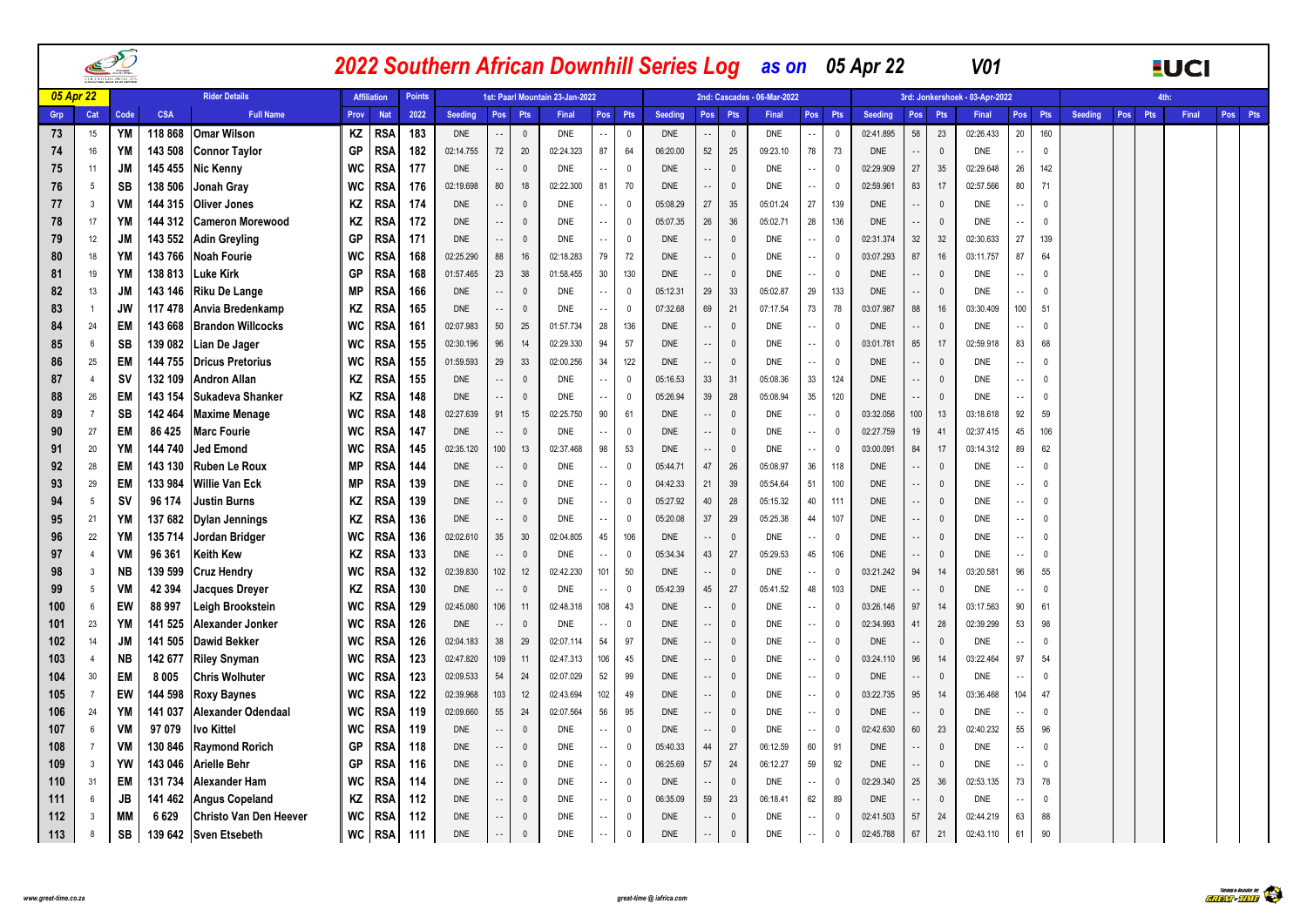|          |                |                 |                   |                                               |           |                    |               |                          |                         |                          |                                 |                                           |                              |                      |                          |                |                             |                          |                | 2022 Southern African Downhill Series Log as on 05 Apr 22 |                            |                              | V <sub>01</sub>                |                                           |               |                       |            | <b>EUCI</b> |         |
|----------|----------------|-----------------|-------------------|-----------------------------------------------|-----------|--------------------|---------------|--------------------------|-------------------------|--------------------------|---------------------------------|-------------------------------------------|------------------------------|----------------------|--------------------------|----------------|-----------------------------|--------------------------|----------------|-----------------------------------------------------------|----------------------------|------------------------------|--------------------------------|-------------------------------------------|---------------|-----------------------|------------|-------------|---------|
|          | 05 Apr 22      |                 |                   | <b>Rider Details</b>                          |           | <b>Affiliation</b> | <b>Points</b> |                          |                         |                          | 1st: Paarl Mountain 23-Jan-2022 |                                           |                              |                      |                          |                | 2nd: Cascades - 06-Mar-2022 |                          |                |                                                           |                            |                              | 3rd: Jonkershoek - 03-Apr-2022 |                                           |               |                       | <b>Ath</b> |             |         |
| Grp      | Cat            | Code            | <b>CSA</b>        | <b>Full Name</b>                              | Prov      | <b>Nat</b>         | 2022          | <b>Seeding</b>           | Pos                     | Pts                      | Final                           | Pos                                       | Pts                          | Seeding              |                          | Pos Pts        | Final                       | Pos                      | Pts            | Seeding                                                   | Pos                        | Pts                          | Final                          |                                           | Pos Pts       | <b>Seeding</b><br>Pos | Pts        | Final       | Pos Pts |
| 73       | 15             | YM              | 118 868           | <b>Omar Wilson</b>                            | ΚZ        | <b>RSA</b>         | 183           | <b>DNE</b>               | $\sim$ $\sim$           | $\mathbf{0}$             | <b>DNE</b>                      | $\overline{\phantom{a}}$                  | $\mathbf{0}$                 | <b>DNE</b>           | ٠.                       | $\mathbf 0$    | <b>DNE</b>                  | $\sim$                   | $\mathbf{0}$   | 02:41.895                                                 | 58                         | 23                           | 02:26.433                      | 20                                        | 160           |                       |            |             |         |
| 74       | 16             | <b>YM</b>       | 143 508           | <b>Connor Taylor</b>                          | GP        | <b>RSA</b>         | 182           | 02:14.755                | 72                      | 20                       | 02:24.323                       | 87                                        | 64                           | 06:20.00             | 52                       | 25             | 09:23.10                    | 78                       | 73             | <b>DNE</b>                                                | $\overline{\phantom{a}}$   | $\mathbf{0}$                 | <b>DNE</b>                     | $\sim$ $\sim$                             | $\mathbf 0$   |                       |            |             |         |
| 75       | 11             | JM              | 145 455           | <b>Nic Kenny</b>                              | WC        | RSA                | 177           | <b>DNE</b>               | $\sim$ $\sim$           | $\mathbf{0}$             | <b>DNE</b>                      | ٠.                                        | $\mathbf{0}$                 | <b>DNE</b>           |                          | $\mathbf 0$    | <b>DNE</b>                  | $\sim$ $\sim$            | - 0            | 02:29.909                                                 | 27                         | 35                           | 02:29.648                      | 26                                        | 142           |                       |            |             |         |
| 76       | 5              | SB              | 138 506           | Jonah Gray                                    | WC        | RSA                | 176           | 02:19.698                | 80                      | 18                       | 02:22.300                       | 81                                        | 70                           | <b>DNE</b>           | $\sim$ $\sim$            | $\mathbb O$    | DNE                         | $\sim$ $\sim$            | 0              | 02:59.961                                                 | 83                         | 17                           | 02:57.566                      | 80                                        | 71            |                       |            |             |         |
| 77       | $\overline{3}$ | VM              | 144 315           | <b>Oliver Jones</b>                           | ΚZ        | RSA                | 174           | <b>DNE</b>               | $\sim$ $-$              | $\mathbf{0}$             | <b>DNE</b>                      | ٠.                                        | $\mathbf 0$                  | 05:08.29             | 27                       | 35             | 05:01.24                    | 27                       | 139            | <b>DNE</b>                                                | $\overline{\phantom{a}}$   | $\mathbf{0}$                 | <b>DNE</b>                     | ٠.                                        | $\mathbf{0}$  |                       |            |             |         |
| 78       | 17             | <b>YM</b>       | 144 312           | <b>Cameron Morewood</b>                       | ΚZ        | RSA                | 172           | DNE                      | $\sim$ $\sim$           | $\mathbf 0$              | <b>DNE</b>                      | $\overline{\phantom{a}}$                  | $\mathbf{0}$                 | 05:07.35             | 26                       | 36             | 05:02.71                    | 28                       | 136            | <b>DNE</b>                                                | $\overline{\phantom{a}}$   | $\mathbf{0}$                 | DNE                            | $\sim$ $\sim$                             | $\mathbf{0}$  |                       |            |             |         |
| 79       | 12             | JM              | 143 552           | <b>Adin Greyling</b>                          | GP        | RSA                | 171           | <b>DNE</b>               | $\sim$ $\sim$           | $\Omega$                 | <b>DNE</b>                      | $\sim$ $\sim$                             | $\mathbf{0}$                 | <b>DNE</b>           | $\sim$ $\sim$            | $\mathbf 0$    | DNE                         | $\sim$ $\sim$            | 0              | 02:31.374                                                 | 32                         | 32                           | 02:30.633                      | 27                                        | 139           |                       |            |             |         |
| 80       | 18             | YM              | 143766            | <b>Noah Fourie</b>                            | WC        | RSA                | 168           | 02:25.290                | 88                      | 16                       | 02:18.283                       | 79                                        | 72                           | <b>DNE</b>           | $\sim$                   | $\mathbf 0$    | DNE                         | $\sim$ $\sim$            | $\mathbf{0}$   | 03:07.293                                                 | 87                         | 16                           | 03:11.757                      | 87                                        | 64            |                       |            |             |         |
| 81       | 19             | YM              | 138 813           | Luke Kirk                                     | GP        | RSA                | 168           | 01:57.465                | 23                      | 38                       | 01:58.455                       | 30                                        | 130                          | <b>DNE</b>           | $\sim$                   | $\mathbf 0$    | <b>DNE</b>                  | $\sim$ $\sim$            | $\mathbf 0$    | <b>DNE</b>                                                | $\overline{a}$             | $\mathbf{0}$                 | DNE                            | $\sim$ $\sim$                             | $\mathbf{0}$  |                       |            |             |         |
| 82       | 13             | JM              | 143 146           | <b>Riku De Lange</b>                          | МP        | RSA                | 166           | DNE                      | $\sim$ $\sim$           | $\mathbf{0}$             | DNE                             | $\sim$                                    | $\mathbf{0}$                 | 05:12.31             | 29                       | 33             | 05:02.87                    | 29                       | 133            | <b>DNE</b>                                                | $\cdot$ .                  | $\mathbf{0}$                 | DNE                            | $\sim$                                    | 0             |                       |            |             |         |
| 83       | -1             | JW              | 117 478           | Anvia Bredenkamp                              | ΚZ        | RSA                | 165           | DNE                      | $\sim$ $-$              | $\Omega$                 | DNE                             | $\ddot{\phantom{a}}$                      | 0                            | 07:32.68             | 69                       | 21             | 07:17.54                    | 73                       | 78             | 03:07.987                                                 | 88                         | 16                           | 03:30.409                      | 100                                       | 51            |                       |            |             |         |
| 84       | 24             | <b>EM</b>       | 143 668           | <b>Brandon Willcocks</b>                      | WC        | RSA                | 161           | 02:07.983                | 50                      | 25                       | 01:57.734                       | 28                                        | 136                          | <b>DNE</b>           | $\overline{a}$           | $\mathbf 0$    | DNE                         | $\sim$ $\sim$            | $\Omega$       | <b>DNE</b>                                                | $\ddotsc$                  | $\mathbf{0}$                 | DNE                            | $\sim$                                    | $\Omega$      |                       |            |             |         |
| 85       | 6              | SB              | 139 082           | Lian De Jager                                 | WC        | RSA                | 155           | 02:30.196                | 96                      | 14                       | 02:29.330                       | 94                                        | 57                           | <b>DNE</b>           | $\sim$ $\sim$            | $\mathbf 0$    | DNE                         | $\sim$ $\sim$            | $\Omega$       | 03:01.781                                                 | 85                         | 17                           | 02:59.918                      | 83                                        | 68            |                       |            |             |         |
| 86       | 25             | EM              | 144 755           | <b>Dricus Pretorius</b>                       | <b>WC</b> | RSA                | 155           | 01:59.593                | 29                      | 33                       | 02:00.256                       | 34                                        | 122                          | <b>DNE</b>           | $\overline{a}$           | $\mathbf 0$    | <b>DNE</b>                  | $\sim$ $\sim$            | $\Omega$       | <b>DNE</b>                                                | $\ddotsc$                  | $\mathbf{0}$                 | DNE                            | $\sim$                                    | $\Omega$      |                       |            |             |         |
| 87       | $\overline{4}$ | <b>SV</b>       | 132 109           | <b>Andron Allan</b>                           | ΚZ        | RSA                | 155           | DNE                      | $\sim$ $\sim$           | $\Omega$                 | DNE                             | $\overline{\phantom{a}}$                  | $\mathbf{0}$                 | 05:16.53             | 33                       | 31             | 05:08.36                    | 33                       | 124            | <b>DNE</b>                                                | $\sim$ $\sim$              | $\Omega$                     | DNE                            | $\sim$ $\sim$                             | $\mathbf{0}$  |                       |            |             |         |
| 88       | 26             | <b>EM</b>       | 143 154           | Sukadeva Shanker                              | ΚZ        | <b>RSA</b>         | 148           | <b>DNE</b>               | $\sim$                  | $\Omega$                 | <b>DNE</b>                      | $\sim$ $\sim$                             | $^{\circ}$                   | 05:26.94             | 39                       | 28             | 05:08.94                    | 35                       | 120            | <b>DNE</b>                                                | $\ddotsc$                  | $\Omega$                     | <b>DNE</b>                     | $\sim$ $\sim$                             | $\Omega$      |                       |            |             |         |
| 89       | - 7            | SB              | 142 464           | <b>Maxime Menage</b>                          | WC        | RSA                | 148           | 02:27.639                | 91                      | 15                       | 02:25.750                       | $90\,$                                    | 61                           | <b>DNE</b>           | $\sim$ $\sim$            | $\mathbf 0$    | <b>DNE</b>                  | $\sim$ $\sim$            | 0              | 03:32.056                                                 | 100                        | 13                           | 03:18.618                      | 92                                        | 59            |                       |            |             |         |
| 90       | 27             | EM              | 86 425            | <b>Marc Fourie</b>                            | <b>WC</b> | RSA                | 147           | <b>DNE</b>               | $\sim$ $\sim$           | $\Omega$                 | <b>DNE</b>                      | $\overline{\phantom{a}}$                  | $\mathbf{0}$                 | <b>DNE</b>           | $\sim$ $\sim$            | $\overline{0}$ | <b>DNE</b>                  | $\sim$ $\sim$            | $\overline{0}$ | 02:27.759                                                 | 19                         | 41                           | 02:37.415                      | 45                                        | 106           |                       |            |             |         |
| 91       | 20             | <b>YM</b>       | 144 740           | Jed Emond                                     | WC        | RSA                | 145           | 02:35.120                | 100                     | 13                       | 02:37.468                       | 98                                        | 53                           | <b>DNE</b>           | $\overline{a}$           | $\mathbf 0$    | DNE                         | $\sim$ $\sim$            | $\mathbf 0$    | 03:00.091                                                 | 84                         | 17                           | 03:14.312                      | 89                                        | 62            |                       |            |             |         |
| 92       | 28<br>29       | EM              | 143 130           | <b>Ruben Le Roux</b><br><b>Willie Van Eck</b> | <b>MP</b> | RSA                | 144           | <b>DNE</b><br><b>DNE</b> | $\sim$ $\sim$           | $\Omega$                 | <b>DNE</b><br><b>DNE</b>        | $\overline{\phantom{a}}$                  | $\mathbf{0}$<br>$\mathbf{0}$ | 05:44.71<br>04:42.33 | 47<br>21                 | 26<br>39       | 05:08.97<br>05:54.64        | 36<br>51                 | 118<br>100     | <b>DNE</b><br><b>DNE</b>                                  | $\ddotsc$                  | $\mathbf{0}$<br>$\mathbf{0}$ | <b>DNE</b><br><b>DNE</b>       | $\overline{\phantom{a}}$<br>$\sim$ $\sim$ | $\Omega$      |                       |            |             |         |
| 93<br>94 | 5              | EM<br><b>SV</b> | 133 984<br>96 174 | <b>Justin Burns</b>                           | <b>MP</b> | RSA                | 139<br>139    | <b>DNE</b>               | $\sim$ $\sim$<br>$\sim$ | $\mathbf{0}$<br>$\Omega$ | <b>DNE</b>                      | $\sim$ $\sim$<br>$\overline{\phantom{a}}$ | $\mathbf{0}$                 | 05:27.92             | 40                       | 28             | 05:15.32                    | 40                       | 111            | <b>DNE</b>                                                | $\sim$ $\sim$<br>$\ddotsc$ | $\Omega$                     | DNE                            | $\sim$                                    | 0<br>$\Omega$ |                       |            |             |         |
| 95       | 21             | <b>YM</b>       | 137 682           | <b>Dylan Jennings</b>                         | ΚZ<br>ΚZ  | RSA<br>RSA         | 136           | <b>DNE</b>               | $\sim$ $\sim$           | $\overline{0}$           | <b>DNE</b>                      | $\sim$ $\sim$                             | $\mathbf{0}$                 | 05:20.08             | 37                       | 29             | 05:25.38                    | 44                       | 107            | <b>DNE</b>                                                | $\sim$ $\sim$              | $\mathbf{0}$                 | DNE                            | $\sim$ $\sim$                             | $\mathbf{0}$  |                       |            |             |         |
| 96       | 22             | <b>YM</b>       | 135 714           | Jordan Bridger                                | <b>WC</b> | RSA                | 136           | 02:02.610                | 35                      | 30                       | 02:04.805                       | 45                                        | 106                          | <b>DNE</b>           | $\sim$ $\sim$            | $\mathbb O$    | <b>DNE</b>                  | $\sim$ $\sim$            | $\mathbf{0}$   | <b>DNE</b>                                                | $\sim$ $\sim$              | $\Omega$                     | <b>DNE</b>                     | $\sim$ $\sim$                             | $\Omega$      |                       |            |             |         |
| 97       | $\overline{4}$ | <b>VM</b>       | 96 361            | <b>Keith Kew</b>                              | ΚZ        | RSA                | 133           | <b>DNE</b>               | $\sim$ $\sim$           | $\mathbf{0}$             | DNE                             | $\sim$ $\sim$                             | $\Omega$                     | 05:34.34             | 43                       | 27             | 05:29.53                    | 45                       | 106            | <b>DNE</b>                                                | $\overline{\phantom{a}}$   | $\mathbf{0}$                 | DNE                            | $\sim$ $\sim$                             | $\mathbf{0}$  |                       |            |             |         |
| 98       | $\overline{3}$ | NB              | 139 599           | <b>Cruz Hendry</b>                            | <b>WC</b> | RSA                | 132           | 02:39.830                | 102                     | 12                       | 02:42.230                       | 101                                       | 50                           | <b>DNE</b>           | $\overline{\phantom{a}}$ | $\mathbb O$    | DNE                         | $\sim$ $\sim$            | 0              | 03:21.242                                                 | 94                         | 14                           | 03:20.581                      | 96                                        | 55            |                       |            |             |         |
| 99       | 5              | VM              | 42 3 94           | Jacques Dreyer                                | ΚZ        | RSA                | 130           | <b>DNE</b>               | $\sim$ $\sim$           | 0                        | <b>DNE</b>                      | $\sim$ $\sim$                             | $\Omega$                     | 05:42.39             | 45                       | 27             | 05:41.52                    | 48                       | 103            | <b>DNE</b>                                                | $\overline{\phantom{a}}$   | $\Omega$                     | DNE                            | $\sim$ $\sim$                             | $\mathbf{0}$  |                       |            |             |         |
| 100      | 6              | EW              | 88 997            | Leigh Brookstein                              | WC        | RSA                | 129           | 02:45.080                | 106                     | 11                       | 02:48.318                       | 108                                       | 43                           | <b>DNE</b>           | $\sim$ $\sim$            | $\mathbb O$    | <b>DNE</b>                  | $\sim$ $\sim$            | 0              | 03:26.146                                                 | 97                         | 14                           | 03:17.563                      | $90\,$                                    | 61            |                       |            |             |         |
| 101      | 23             | YM              | 141 525           | Alexander Jonker                              | <b>WC</b> | RSA                | 126           | <b>DNE</b>               | $\sim$ $\sim$           | $\mathbf{0}$             | <b>DNE</b>                      | å,                                        | $\mathbf{0}$                 | <b>DNE</b>           | ă.                       | $\mathbf 0$    | DNE                         | $\sim$                   | - 0            | 02:34.993                                                 | 41                         | 28                           | 02:39.299                      | 53                                        | 98            |                       |            |             |         |
| 102      | 14             | JM              | 141 505           | <b>Dawid Bekker</b>                           | WC        | RSA                | 126           | 02:04.183                | 38                      | 29                       | 02:07.114                       | 54                                        | 97                           | <b>DNE</b>           | $\overline{a}$           | $\mathbb O$    | DNE                         | $\sim$ $\sim$            | 0              | DNE                                                       | $\overline{\phantom{a}}$   | $\mathbf{0}$                 | DNE                            | $\sim$                                    | $\mathbf{0}$  |                       |            |             |         |
| 103      | $\overline{4}$ | NΒ              | 142 677           | <b>Riley Snyman</b>                           | WC        | RSA                | 123           | 02:47.820                | 109                     | 11                       | 02:47.313                       | 106                                       | 45                           | <b>DNE</b>           | $\sim$ $-$               | $\mathbf{0}$   | DNE                         | $\sim$ $-$               | 0              | 03:24.110                                                 | 96                         | 14                           | 03:22.464                      | 97                                        | 54            |                       |            |             |         |
| 104      | 30             | EM              | 8 0 0 5           | <b>Chris Wolhuter</b>                         | WC        | RSA                | 123           | 02:09.533                | 54                      | 24                       | 02:07.029                       | 52                                        | 99                           | <b>DNE</b>           | $\sim$ $\sim$            | $\mathbf 0$    | DNE                         | $\sim$ $\sim$            | 0              | <b>DNE</b>                                                | $\overline{\phantom{a}}$   | $\mathbf{0}$                 | DNE                            | $\ddotsc$                                 | $\mathbf{0}$  |                       |            |             |         |
| 105      | $\overline{7}$ | EW              | 144 598           | <b>Roxy Baynes</b>                            | WC        | RSA                | 122           | 02:39.968                | 103                     | 12                       | 02:43.694                       | 102                                       | 49                           | <b>DNE</b>           | ă.                       | $\mathbf 0$    | DNE                         | $\sim$                   | 0              | 03:22.735                                                 | 95                         | 14                           | 03:36.468                      | 104                                       | 47            |                       |            |             |         |
| 106      | 24             | YM              | 141 037           | Alexander Odendaal                            | WC        | RSA                | 119           | 02:09.660                | 55                      | 24                       | 02:07.564                       | 56                                        | 95                           | <b>DNE</b>           | $\overline{\phantom{a}}$ | $\mathbf 0$    | DNE                         | $\sim$ $\sim$            | 0              | <b>DNE</b>                                                | $\overline{\phantom{a}}$   | $\mathbf{0}$                 | DNE                            | $\ddot{\phantom{a}}$                      | $\mathbf 0$   |                       |            |             |         |
| 107      | 6              | VM              | 97 079            | <b>Ivo Kittel</b>                             | <b>WC</b> | RSA                | 119           | <b>DNE</b>               | $\sim$ $\sim$           | $\mathbf{0}$             | <b>DNE</b>                      | ٠.                                        | 0                            | <b>DNE</b>           | $\sim$ $\sim$            | $\mathbf 0$    | DNE                         | $\sim$                   | $\mathbf{0}$   | 02:42.630                                                 | 60                         | 23                           | 02:40.232                      | 55                                        | 96            |                       |            |             |         |
| 108      | - 7            | VM              | 130 846           | <b>Raymond Rorich</b>                         | GP        | RSA                | 118           | <b>DNE</b>               | $\sim$ $-$              | $\mathbf{0}$             | <b>DNE</b>                      | $\sim$ $\sim$                             | $\Omega$                     | 05:40.33             | 44                       | 27             | 06:12.59                    | 60                       | 91             | <b>DNE</b>                                                | Ξ.                         | $\mathbf{0}$                 | <b>DNE</b>                     | $\sim$                                    | 0             |                       |            |             |         |
| 109      | $\overline{3}$ | <b>YW</b>       | 143 046           | <b>Arielle Behr</b>                           | GP        | RSA                | 116           | <b>DNE</b>               | $\sim$ $\sim$           | $\Omega$                 | <b>DNE</b>                      | $\sim$                                    | $\mathbf{0}$                 | 06:25.69             | 57                       | 24             | 06:12.27                    | 59                       | 92             | <b>DNE</b>                                                | $\sim$                     | $\mathbf 0$                  | DNE                            | $\sim$ $\sim$                             | $\mathbf 0$   |                       |            |             |         |
| 110      | 31             | EM              | 131 734           | Alexander Ham                                 | WC        | RSA                | 114           | DNE                      | $\sim$ $-$              | $\mathbf{0}$             | <b>DNE</b>                      | ٠.                                        | $\mathbf 0$                  | <b>DNE</b>           |                          | $\mathbf 0$    | DNE                         | $\overline{\phantom{a}}$ | $\mathbf{0}$   | 02:29.340                                                 | 25                         | 36                           | 02:53.135                      | 73                                        | 78            |                       |            |             |         |
| 111      | 6              | JB              | 141 462           | <b>Angus Copeland</b>                         | ΚZ        | RSA                | 112           | <b>DNE</b>               | $\sim$ $\sim$           | $\mathbf 0$              | <b>DNE</b>                      | $\sim$                                    | $\Omega$                     | 06:35.09             | 59                       | 23             | 06:18.41                    | 62                       | 89             | <b>DNE</b>                                                | $\ddotsc$                  | $\Omega$                     | DNE                            | $\sim$ $\sim$                             | $\Omega$      |                       |            |             |         |
| 112      | 3              | <b>MM</b>       | 6629              | <b>Christo Van Den Heever</b>                 | WC        | RSA                | 112           | <b>DNE</b>               | $\sim$ $-$              | $\Omega$                 | <b>DNE</b>                      | $\sim$ $\sim$                             | 0                            | <b>DNE</b>           |                          | $\mathbf 0$    | DNE                         | $\sim$ $\sim$            | $\Omega$       | 02:41.503                                                 | 57                         | 24                           | 02:44.219                      | 63                                        | 88            |                       |            |             |         |
| 113      | 8              | SB              |                   | 139 642 Sven Etsebeth                         | WC        | <b>RSA</b>         | 111           | <b>DNE</b>               | $\sim$ $\sim$           | $\mathbf 0$              | <b>DNE</b>                      |                                           | $\mathbf{0}$                 | <b>DNE</b>           | $\sim$ $\sim$            | $\mathbf 0$    | <b>DNE</b>                  | $\sim$ $\sim$            | $\mathbf{0}$   | 02:45.788                                                 | 67                         | 21                           | 02:43.110                      | 61                                        | 90            |                       |            |             |         |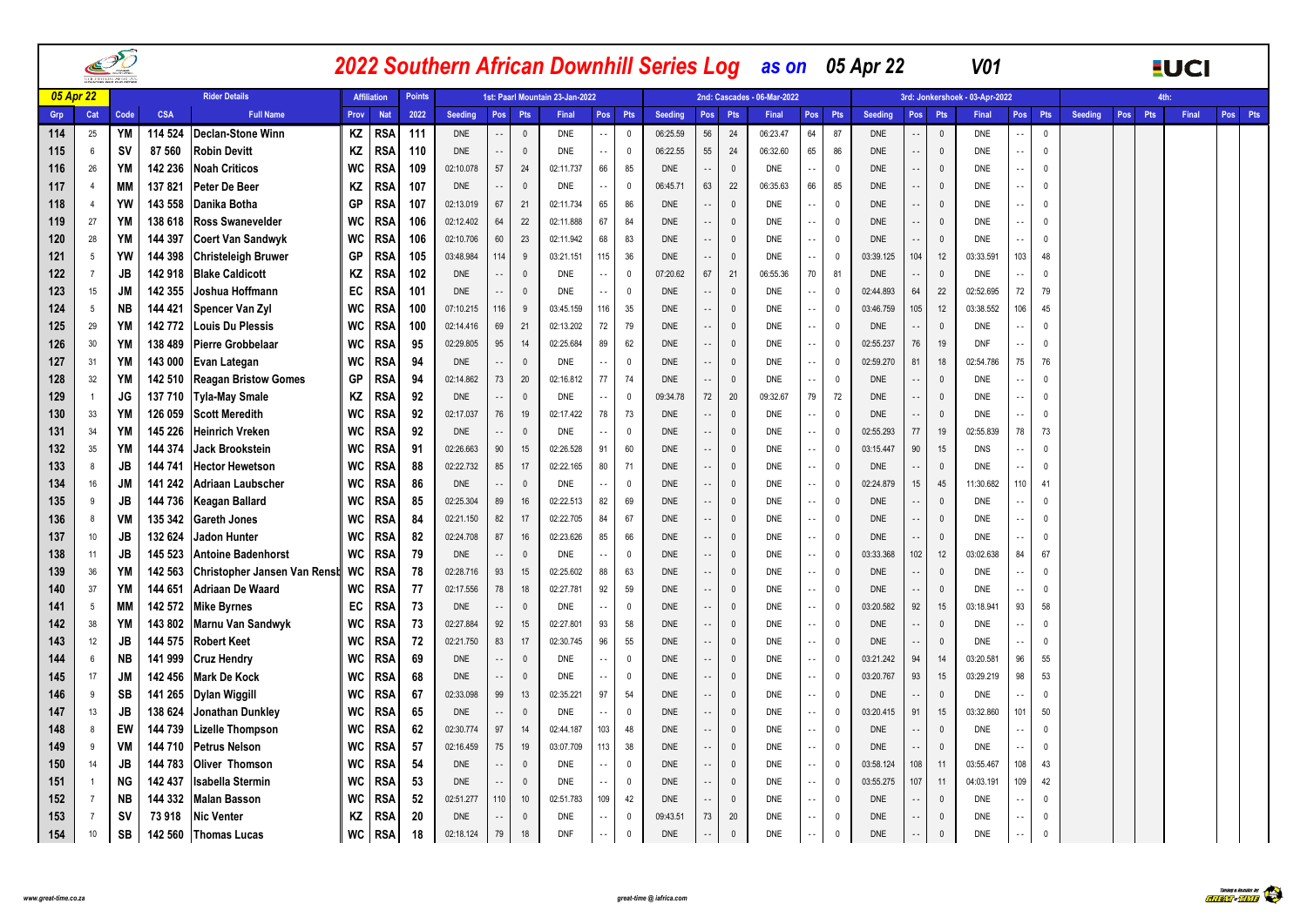|           |                | PO        |            |                              |           |                    |               |            |                            |                |                                 |                            |              |            |                          |              | 2022 Southern African Downhill Series Log as on 05 Apr 22 |               |                |                |                          |              | <b>V01</b>                     |                          |                |                       |     | <b>EUCI</b> |         |
|-----------|----------------|-----------|------------|------------------------------|-----------|--------------------|---------------|------------|----------------------------|----------------|---------------------------------|----------------------------|--------------|------------|--------------------------|--------------|-----------------------------------------------------------|---------------|----------------|----------------|--------------------------|--------------|--------------------------------|--------------------------|----------------|-----------------------|-----|-------------|---------|
| 05 Apr 22 |                |           |            | <b>Rider Details</b>         |           | <b>Affiliation</b> | <b>Points</b> |            |                            |                | 1st: Paarl Mountain 23-Jan-2022 |                            |              |            |                          |              | 2nd: Cascades - 06-Mar-2022                               |               |                |                |                          |              | 3rd: Jonkershoek - 03-Apr-2022 |                          |                |                       |     | <b>Ath</b>  |         |
| Grp       | Cat            | Code      | <b>CSA</b> | <b>Full Name</b>             | Prov      | <b>Nat</b>         | 2022          | Seeding    | Pos Pts                    |                | Final                           | Pos                        | Pts          | Seeding    |                          | Pos Pts      | Final                                                     | Pos Pts       |                | <b>Seeding</b> | Pos                      | Pts          | <b>Final</b>                   |                          | Pos Pts        | <b>Seeding</b><br>Pos | Pts | Final       | Pos Pts |
| 114       | 25             | YM        | 114 524    | <b>Declan-Stone Winn</b>     | ΚZ        | <b>RSA</b>         | 111           | <b>DNE</b> | $\sim$ $\sim$              | 0              | <b>DNE</b>                      | $\overline{\phantom{a}}$   | $\mathbf{0}$ | 06:25.59   | 56                       | 24           | 06:23.47                                                  | 64            | 87             | <b>DNE</b>     | $\overline{\phantom{a}}$ | $\mathbf{0}$ | DNE                            |                          | $\mathbf 0$    |                       |     |             |         |
| 115       | 6              | <b>SV</b> | 87 560     | <b>Robin Devitt</b>          | ΚZ        | <b>RSA</b>         | 110           | <b>DNE</b> | $\sim$                     | $\overline{0}$ | DNE                             | $\overline{\phantom{a}}$ . | $\mathbf 0$  | 06:22.55   | 55                       | 24           | 06:32.60                                                  | 65            | 86             | DNE            | $\overline{\phantom{a}}$ | $\mathbb O$  | <b>DNE</b>                     | $\sim$ $-$               | $\mathbf 0$    |                       |     |             |         |
| 116       | 26             | YM        | 142 236    | <b>Noah Criticos</b>         | <b>WC</b> | <b>RSA</b>         | 109           | 02:10.078  | $57\,$                     | 24             | 02:11.737                       | 66                         | 85           | <b>DNE</b> | $\overline{\phantom{a}}$ | $\mathbf 0$  | <b>DNE</b>                                                | $\sim$        | $\Omega$       | <b>DNE</b>     | Ω,                       | $\Omega$     | <b>DNE</b>                     | $\sim$ $\sim$            | $\mathbf{0}$   |                       |     |             |         |
| 117       | $\overline{4}$ | <b>MM</b> | 137 821    | Peter De Beer                | ΚZ        | RSA                | 107           | <b>DNE</b> | $\sim$ $\sim$              | 0              | <b>DNE</b>                      | $\ddotsc$                  | $^{\circ}$   | 06:45.71   | 63                       | 22           | 06:35.63                                                  | 66            | 85             | <b>DNE</b>     | $\overline{a}$           | $\Omega$     | <b>DNE</b>                     | $\ddotsc$                | $\overline{0}$ |                       |     |             |         |
| 118       | $\overline{4}$ | YW        | 143 558    | Danika Botha                 | GP        | RSA                | 107           | 02:13.019  | 67                         | 21             | 02:11.734                       | 65                         | 86           | <b>DNE</b> |                          | $\mathbb O$  | <b>DNE</b>                                                | $\sim$        | 0              | DNE            | $\overline{\phantom{a}}$ | $\mathbf{0}$ | DNE                            | $\sim$ $\sim$            | 0              |                       |     |             |         |
| 119       | 27             | YM        | 138 618    | <b>Ross Swanevelder</b>      | <b>WC</b> | RSA                | 106           | 02:12.402  | 64                         | 22             | 02:11.888                       | 67                         | 84           | <b>DNE</b> | $\sim$                   | $\mathbb O$  | <b>DNE</b>                                                | $\sim$ $\sim$ | 0              | <b>DNE</b>     | $\overline{\phantom{a}}$ | $\Omega$     | DNE                            | $\sim$                   | $\mathbb O$    |                       |     |             |         |
| 120       | 28             | YM        | 144 397    | <b>Coert Van Sandwyk</b>     | <b>WC</b> | RSA                | 106           | 02:10.706  | 60                         | 23             | 02:11.942                       | 68                         | 83           | <b>DNE</b> | $\sim$ $\sim$            | $\mathbb O$  | <b>DNE</b>                                                | $\sim$ $\sim$ | $\overline{0}$ | <b>DNE</b>     | Ω,                       | $\Omega$     | <b>DNE</b>                     |                          | $\overline{0}$ |                       |     |             |         |
| 121       | 5              | YW        | 144 398    | <b>Christeleigh Bruwer</b>   | GP        | <b>RSA</b>         | 105           | 03:48.984  | 114                        | 9              | 03:21.151                       | 115                        | 36           | <b>DNE</b> | $\overline{\phantom{a}}$ | $\mathbb O$  | <b>DNE</b>                                                | $\sim$        | 0              | 03:39.125      | 104                      | 12           | 03:33.591                      | 103                      | 48             |                       |     |             |         |
| 122       | $\overline{7}$ | JB        | 142 918    | <b>Blake Caldicott</b>       | ΚZ        | RSA                | 102           | <b>DNE</b> | $\overline{\phantom{a}}$ . | $\overline{0}$ | <b>DNE</b>                      | ÷.                         | $\mathbf{0}$ | 07:20.62   | 67                       | 21           | 06:55.36                                                  | 70            | 81             | <b>DNE</b>     | Ω,                       | $\Omega$     | <b>DNE</b>                     | $\overline{\phantom{a}}$ | $\Omega$       |                       |     |             |         |
| 123       | 15             | JM        | 142 355    | Joshua Hoffmann              | EC        | RSA                | 101           | <b>DNE</b> | $\sim$ $\sim$              | 0              | <b>DNE</b>                      | $\sim$                     | $\mathbf 0$  | <b>DNE</b> | $\overline{\phantom{a}}$ | $\mathbb O$  | DNE                                                       | $\sim$ $\sim$ | - 0            | 02:44.893      | 64                       | 22           | 02:52.695                      | 72                       | 79             |                       |     |             |         |
| 124       | 5              | NB        | 144 421    | Spencer Van Zyl              | WC        | <b>RSA</b>         | 100           | 07:10.215  | 116                        | 9              | 03:45.159                       | 116                        | 35           | <b>DNE</b> | Ω,                       | $\mathbb O$  | <b>DNE</b>                                                | $\sim$ $\sim$ | - 0            | 03:46.759      | 105                      | 12           | 03:38.552                      | 106                      | 45             |                       |     |             |         |
| 125       | 29             | YM        | 142772     | Louis Du Plessis             | <b>WC</b> | RSA                | 100           | 02:14.416  | 69                         | 21             | 02:13.202                       | 72                         | 79           | <b>DNE</b> | $\overline{\phantom{a}}$ | $\mathbb O$  | <b>DNE</b>                                                | $\sim$ $\sim$ | - 0            | <b>DNE</b>     | ٠.                       | $\mathbf{0}$ | <b>DNE</b>                     |                          | $\mathbf{0}$   |                       |     |             |         |
| 126       | 30             | YM        | 138 489    | <b>Pierre Grobbelaar</b>     | <b>WC</b> | <b>RSA</b>         | 95            | 02:29.805  | 95                         | 14             | 02:25.684                       | 89                         | 62           | <b>DNE</b> | $\sim$ $\sim$            | $\mathbf 0$  | DNE                                                       | $\sim$ $\sim$ | - 0            | 02:55.237      | 76                       | 19           | <b>DNF</b>                     | $\sim$ $\sim$            | $\mathbf 0$    |                       |     |             |         |
| 127       | 31             | YM        | 143 000    | Evan Lategan                 | <b>WC</b> | RSA                | 94            | <b>DNE</b> | $\sim$                     | 0              | DNE                             | ٠.                         | $\mathbf 0$  | <b>DNE</b> | $\overline{\phantom{a}}$ | $\mathbf 0$  | <b>DNE</b>                                                | $\sim$ $\sim$ | 0              | 02:59.270      | 81                       | 18           | 02:54.786                      | 75                       | 76             |                       |     |             |         |
| 128       | 32             | YM        | 142 510    | <b>Reagan Bristow Gomes</b>  | GP        | RSA                | 94            | 02:14.862  | 73                         | 20             | 02:16.812                       | 77                         | 74           | <b>DNE</b> | $\sim$ $\sim$            | $\mathbf 0$  | <b>DNE</b>                                                | $\sim$ $\sim$ | $\overline{0}$ | <b>DNE</b>     | $\overline{\phantom{a}}$ | $\Omega$     | <b>DNE</b>                     |                          | $\mathbf 0$    |                       |     |             |         |
| 129       | $\overline{1}$ | JG        | 137 710    | <b>Tyla-May Smale</b>        | ΚZ        | <b>RSA</b>         | 92            | <b>DNE</b> | $\sim$ $-$                 | $\Omega$       | DNE                             | $\sim$ $\sim$              | $\mathbf{0}$ | 09:34.78   | 72                       | 20           | 09:32.67                                                  | 79            | 72             | DNE            | $\overline{\phantom{a}}$ | $\Omega$     | DNE                            | $\sim$ $\sim$            | $\Omega$       |                       |     |             |         |
| 130       | 33             | YM        | 126 059    | <b>Scott Meredith</b>        | <b>WC</b> | RSA                | 92            | 02:17.037  | 76                         | 19             | 02:17.422                       | 78                         | 73           | <b>DNE</b> | $\sim$ $\sim$            | $\mathbf 0$  | DNE                                                       | $\sim$ $\sim$ | 0              | <b>DNE</b>     | $\overline{\phantom{a}}$ | $\Omega$     | DNE                            | $\sim$ $\sim$            | $\mathbf 0$    |                       |     |             |         |
| 131       | 34             | <b>YM</b> | 145 226    | Heinrich Vreken              | WC        | <b>RSA</b>         | 92            | <b>DNE</b> | $\sim$                     | $\overline{0}$ | <b>DNE</b>                      | $\sim$ $\sim$              | $\mathbf{0}$ | <b>DNE</b> | $\sim$ $\sim$            | $\mathbf 0$  | <b>DNE</b>                                                | $\sim$ $\sim$ | $\overline{0}$ | 02:55.293      | 77                       | 19           | 02:55.839                      | 78                       | 73             |                       |     |             |         |
| 132       | 35             | YM        | 144 374    | Jack Brookstein              | <b>WC</b> | <b>RSA</b>         | 91            | 02:26.663  | $90\,$                     | 15             | 02:26.528                       | 91                         | 60           | <b>DNE</b> | $\overline{\phantom{a}}$ | $\mathbf 0$  | DNE                                                       | $\sim$        | 0              | 03:15.447      | 90                       | 15           | <b>DNS</b>                     | ٠.                       | $\mathbf 0$    |                       |     |             |         |
| 133       | 8              | JB        | 144 741    | <b>Hector Hewetson</b>       | <b>WC</b> | RSA                | 88            | 02:22.732  | 85                         | 17             | 02:22.165                       | $80\,$                     | 71           | <b>DNE</b> | $\sim$ $\sim$            | $\mathbb O$  | <b>DNE</b>                                                | $\sim$ $\sim$ | $\overline{0}$ | <b>DNE</b>     | $\overline{\phantom{a}}$ | $\mathbf{0}$ | <b>DNE</b>                     | $\sim$ $\sim$            | $\Omega$       |                       |     |             |         |
| 134       | 16             | JM        | 141 242    | <b>Adriaan Laubscher</b>     | <b>WC</b> | RSA                | 86            | <b>DNE</b> | $\sim$ $\sim$              | - 0            | <b>DNE</b>                      | $\sim$                     | $\mathbf 0$  | <b>DNE</b> | $\sim$ $\sim$            | $\mathbf 0$  | DNE                                                       | $\sim$ $\sim$ | - 0            | 02:24.879      | 15                       | 45           | 11:30.682                      | 110                      | 41             |                       |     |             |         |
| 135       | 9              | JB        | 144 736    | Keagan Ballard               | WC        | <b>RSA</b>         | 85            | 02:25.304  | 89                         | 16             | 02:22.513                       | 82                         | 69           | <b>DNE</b> | $\sim$ $\sim$            | $\mathbb O$  | DNE                                                       | $\sim$ $\sim$ | $\mathbf{0}$   | <b>DNE</b>     | $\overline{\phantom{a}}$ | $\mathbf{0}$ | DNE                            |                          | $\mathbf 0$    |                       |     |             |         |
| 136       | 8              | VM        | 135 342    | <b>Gareth Jones</b>          | <b>WC</b> | RSA                | 84            | 02:21.150  | 82                         | 17             | 02:22.705                       | 84                         | 67           | <b>DNE</b> | $\ddotsc$                | $\mathbb O$  | <b>DNE</b>                                                | $\sim$ $\sim$ | 0              | DNE            | $\ddotsc$                | $\mathbf{0}$ | DNE                            | $\overline{\phantom{a}}$ | $\mathbf{0}$   |                       |     |             |         |
| 137       | 10             | JB        | 132 624    | Jadon Hunter                 | <b>WC</b> | <b>RSA</b>         | 82            | 02:24.708  | 87                         | 16             | 02:23.626                       | 85                         | 66           | <b>DNE</b> | $\sim$ $\sim$            | $\mathbf 0$  | DNE                                                       | $\sim$ $\sim$ | 0              | <b>DNE</b>     | $\ddotsc$                | $\mathbf{0}$ | <b>DNE</b>                     | $\sim$ $\sim$            | $\mathbf 0$    |                       |     |             |         |
| 138       | 11             | JB        | 145 523    | <b>Antoine Badenhorst</b>    | <b>WC</b> | RSA                | 79            | <b>DNE</b> | $\sim$ $\sim$              | 0              | DNE                             | ă.                         | $\mathbf 0$  | <b>DNE</b> | $\sim$ $\sim$            | $\mathbf 0$  | <b>DNE</b>                                                | $\sim$ $\sim$ | 0              | 03:33.368      | 102                      | 12           | 03:02.638                      | 84                       | 67             |                       |     |             |         |
| 139       | 36             | YM        | 142 563    | Christopher Jansen Van Rensh | WC        | RSA                | 78            | 02:28.716  | 93                         | 15             | 02:25.602                       | 88                         | 63           | <b>DNE</b> | $\sim$ $\sim$            | $\mathbb O$  | <b>DNE</b>                                                | $\sim$ $\sim$ | 0              | <b>DNE</b>     | ٠.                       | $\mathbf{0}$ | <b>DNE</b>                     |                          | $\mathbf 0$    |                       |     |             |         |
| 140       | 37             | YM        | 144 651    | Adriaan De Waard             | <b>WC</b> | RSA                | 77            | 02:17.556  | 78                         | 18             | 02:27.781                       | 92                         | 59           | <b>DNE</b> |                          | $\mathbf 0$  | <b>DNE</b>                                                | $\sim$ $\sim$ | 0              | <b>DNE</b>     |                          | $\mathbf{0}$ | <b>DNE</b>                     | $\sim$ $\sim$            | $\mathbf{0}$   |                       |     |             |         |
| 141       | 5              | МM        | 142 572    | <b>Mike Byrnes</b>           | EC        | RSA                | 73            | <b>DNE</b> | $\sim$ $\sim$              | 0              | <b>DNE</b>                      | $\sim$                     | $\mathbf 0$  | <b>DNE</b> | $\sim$ $\sim$            | $\mathbb O$  | DNE                                                       | $\sim$ $\sim$ | 0              | 03:20.582      | 92                       | 15           | 03:18.941                      | 93                       | 58             |                       |     |             |         |
| 142       | 38             | YM        | 143 802    | Marnu Van Sandwyk            | WC        | RSA                | 73            | 02:27.884  | 92                         | 15             | 02:27.801                       | 93                         | 58           | <b>DNE</b> | $\overline{a}$           | $\mathbf 0$  | <b>DNE</b>                                                | $\sim$ $\sim$ | $\Omega$       | <b>DNE</b>     | Ω,                       | $\Omega$     | <b>DNE</b>                     |                          | $\mathbf 0$    |                       |     |             |         |
| 143       | 12             | JB        | 144 575    | <b>Robert Keet</b>           | WC        | RSA                | 72            | 02:21.750  | 83                         | 17             | 02:30.745                       | 96                         | 55           | <b>DNE</b> | $\overline{\phantom{a}}$ | $\mathbf 0$  | DNE                                                       | $\sim$ $\sim$ | 0              | <b>DNE</b>     | $\overline{\phantom{a}}$ | $\Omega$     | <b>DNE</b>                     | $\overline{a}$           | $\mathbf 0$    |                       |     |             |         |
| 144       | 6              | <b>NB</b> | 141 999    | <b>Cruz Hendry</b>           | <b>WC</b> | RSA                | 69            | <b>DNE</b> | $\sim$ $\sim$              | $\Omega$       | DNE                             | ٠.                         | $\mathbf{0}$ | <b>DNE</b> | $\sim$ $\sim$            | $\mathbf{0}$ | <b>DNE</b>                                                | $\sim$ $\sim$ | $\overline{0}$ | 03:21.242      | 94                       | 14           | 03:20.581                      | 96                       | 55             |                       |     |             |         |
| 145       | 17             | JM        | 142 456    | <b>Mark De Kock</b>          | <b>WC</b> | RSA                | 68            | <b>DNE</b> | $\sim$ $\sim$              | 0              | <b>DNE</b>                      | $\sim$ $\sim$              | $\mathbf 0$  | <b>DNE</b> | 44                       | $\mathbf 0$  | <b>DNE</b>                                                | $\sim$ $\sim$ | - 0            | 03:20.767      | 93                       | 15           | 03:29.219                      | 98                       | 53             |                       |     |             |         |
| 146       | 9              | SB        | 141 265    | Dylan Wiggill                | <b>WC</b> | RSA                | 67            | 02:33.098  | 99                         | 13             | 02:35.221                       | 97                         | 54           | <b>DNE</b> | $\overline{\phantom{a}}$ | $\mathbb O$  | <b>DNE</b>                                                | $\sim$        | $\overline{0}$ | <b>DNE</b>     | $\overline{\phantom{a}}$ | $\mathbf{0}$ | <b>DNE</b>                     |                          | $\Omega$       |                       |     |             |         |
| 147       | 13             | JB        | 138 624    | Jonathan Dunkley             | <b>WC</b> | RSA                | 65            | <b>DNE</b> | $\sim$ $\sim$              | $\overline{0}$ | DNE                             | ٠.                         | $\mathbb O$  | <b>DNE</b> | $\overline{\phantom{a}}$ | $\mathbb O$  | DNE                                                       | $\sim$        | 0              | 03:20.415      | 91                       | 15           | 03:32.860                      | 101                      | 50             |                       |     |             |         |
| 148       | 8              | EW        | 144 739    | <b>Lizelle Thompson</b>      | <b>WC</b> | <b>RSA</b>         | 62            | 02:30.774  | 97                         | 14             | 02:44.187                       | 103                        | 48           | <b>DNE</b> | $\sim$ $\sim$            | $\mathbb O$  | <b>DNE</b>                                                | $\sim$ $\sim$ | $\Omega$       | <b>DNE</b>     | $\overline{\phantom{a}}$ | $\Omega$     | <b>DNE</b>                     | $\sim$ $\sim$            | $\mathbf{0}$   |                       |     |             |         |
| 149       | -9             | VM        | 144 710    | <b>Petrus Nelson</b>         | <b>WC</b> | RSA                | 57            | 02:16.459  | 75                         | 19             | 03:07.709                       | 113                        | 38           | <b>DNE</b> | $\overline{\phantom{a}}$ | $\mathbb O$  | DNE                                                       | $\sim$        | $\mathbf{0}$   | <b>DNE</b>     | $\overline{\phantom{a}}$ | $\Omega$     | <b>DNE</b>                     |                          | 0              |                       |     |             |         |
| 150       | 14             | JB        | 144 783    | <b>Oliver Thomson</b>        | WC        | RSA                | 54            | <b>DNE</b> | $\sim$ $\sim$              | $\overline{0}$ | <b>DNE</b>                      |                            | $\mathbf 0$  | <b>DNE</b> | $\sim$ $-$               | $\mathbb O$  | DNE                                                       | $\sim$ $\sim$ | - 0            | 03:58.124      | 108                      | 11           | 03:55.467                      | 108                      | 43             |                       |     |             |         |
| 151       |                | NG        | 142 437    | Isabella Stermin             | <b>WC</b> | RSA                | 53            | <b>DNE</b> | $\sim$ $-$                 | $\mathbf{0}$   | <b>DNE</b>                      | $\sim$ $\sim$              | $\mathbf 0$  | <b>DNE</b> | $\overline{\phantom{a}}$ | $\mathbf 0$  | <b>DNE</b>                                                | $\sim$ $\sim$ | 0              | 03:55.275      | 107                      | 11           | 04:03.191                      | 109                      | 42             |                       |     |             |         |
| 152       | -7             | NΒ        | 144 332    | <b>Malan Basson</b>          | WC        | RSA                | 52            | 02:51.277  | 110                        | 10             | 02:51.783                       | 109                        | 42           | <b>DNE</b> | $\sim$                   | $\mathbf 0$  | DNE                                                       | $\sim$ $\sim$ | 0              | <b>DNE</b>     | $\overline{\phantom{a}}$ | $\mathbf{0}$ | DNE                            | $\sim$ $\sim$            | $\mathbf{0}$   |                       |     |             |         |
| 153       | $\overline{7}$ | <b>SV</b> | 73 918     | <b>Nic Venter</b>            | ΚZ        | RSA                | 20            | <b>DNE</b> | $\ddotsc$                  | $\mathbf{0}$   | <b>DNE</b>                      | $\sim$                     | $\mathbf 0$  | 09:43.51   | 73                       | 20           | <b>DNE</b>                                                | $\sim$ $\sim$ | 0              | <b>DNE</b>     | $\overline{\phantom{a}}$ | $\mathbf{0}$ | <b>DNE</b>                     | $\sim$ $\sim$            | 0              |                       |     |             |         |
| 154       | 10             | SB        | 142 560    | Thomas Lucas                 | WC        | <b>RSA</b>         | 18            | 02:18.124  | 79                         | 18             | <b>DNF</b>                      | $\overline{\phantom{a}}$   | $\Omega$     | <b>DNE</b> | $\overline{\phantom{a}}$ | $\mathbb O$  | <b>DNE</b>                                                | $\sim$ -      | 0              | <b>DNE</b>     |                          | $\mathbf{0}$ | <b>DNE</b>                     | $\ddot{\phantom{1}}$     | $\mathbf{0}$   |                       |     |             |         |